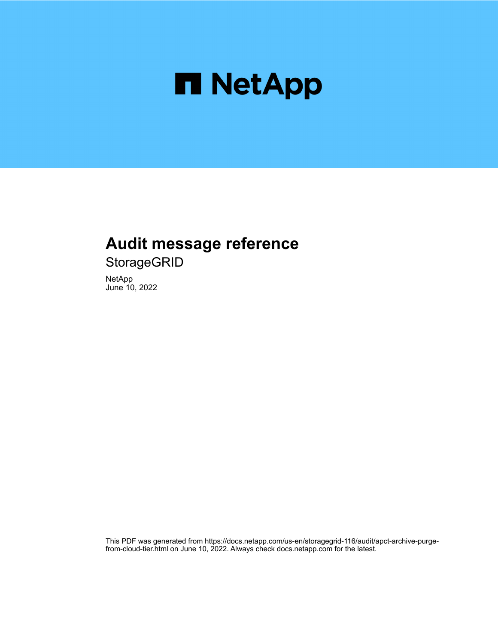

# **Audit message reference**

**StorageGRID** 

NetApp June 10, 2022

This PDF was generated from https://docs.netapp.com/us-en/storagegrid-116/audit/apct-archive-purgefrom-cloud-tier.html on June 10, 2022. Always check docs.netapp.com for the latest.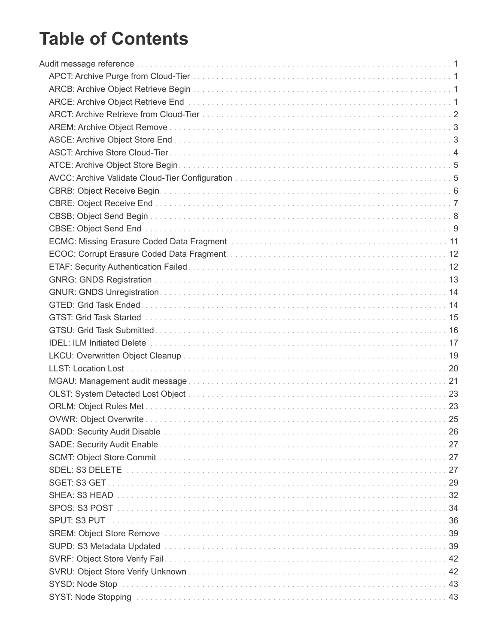# **Table of Contents**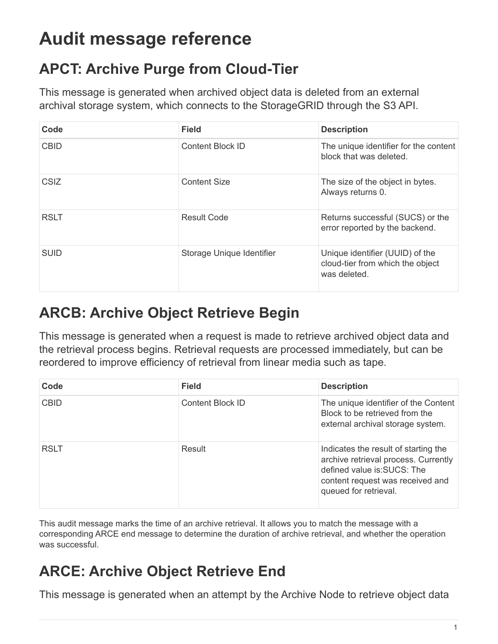# <span id="page-3-0"></span>**Audit message reference**

# <span id="page-3-1"></span>**APCT: Archive Purge from Cloud-Tier**

This message is generated when archived object data is deleted from an external archival storage system, which connects to the StorageGRID through the S3 API.

| Code        | <b>Field</b>              | <b>Description</b>                                                                  |
|-------------|---------------------------|-------------------------------------------------------------------------------------|
| <b>CBID</b> | <b>Content Block ID</b>   | The unique identifier for the content<br>block that was deleted.                    |
| <b>CSIZ</b> | <b>Content Size</b>       | The size of the object in bytes.<br>Always returns 0.                               |
| <b>RSLT</b> | <b>Result Code</b>        | Returns successful (SUCS) or the<br>error reported by the backend.                  |
| <b>SUID</b> | Storage Unique Identifier | Unique identifier (UUID) of the<br>cloud-tier from which the object<br>was deleted. |

# <span id="page-3-2"></span>**ARCB: Archive Object Retrieve Begin**

This message is generated when a request is made to retrieve archived object data and the retrieval process begins. Retrieval requests are processed immediately, but can be reordered to improve efficiency of retrieval from linear media such as tape.

| Code        | <b>Field</b>            | <b>Description</b>                                                                                                                                                      |
|-------------|-------------------------|-------------------------------------------------------------------------------------------------------------------------------------------------------------------------|
| <b>CBID</b> | <b>Content Block ID</b> | The unique identifier of the Content<br>Block to be retrieved from the<br>external archival storage system.                                                             |
| <b>RSLT</b> | Result                  | Indicates the result of starting the<br>archive retrieval process. Currently<br>defined value is:SUCS: The<br>content request was received and<br>queued for retrieval. |

This audit message marks the time of an archive retrieval. It allows you to match the message with a corresponding ARCE end message to determine the duration of archive retrieval, and whether the operation was successful.

# <span id="page-3-3"></span>**ARCE: Archive Object Retrieve End**

This message is generated when an attempt by the Archive Node to retrieve object data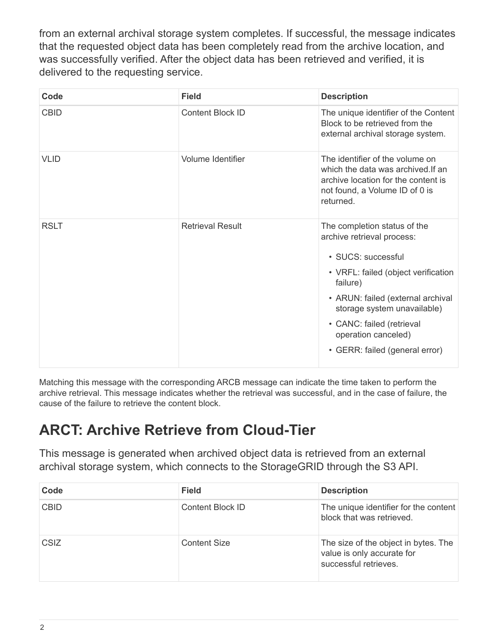from an external archival storage system completes. If successful, the message indicates that the requested object data has been completely read from the archive location, and was successfully verified. After the object data has been retrieved and verified, it is delivered to the requesting service.

| Code        | <b>Field</b>            | <b>Description</b>                                                                                                                                                                                                                                                                            |
|-------------|-------------------------|-----------------------------------------------------------------------------------------------------------------------------------------------------------------------------------------------------------------------------------------------------------------------------------------------|
| <b>CBID</b> | Content Block ID        | The unique identifier of the Content<br>Block to be retrieved from the<br>external archival storage system.                                                                                                                                                                                   |
| <b>VLID</b> | Volume Identifier       | The identifier of the volume on<br>which the data was archived. If an<br>archive location for the content is<br>not found, a Volume ID of 0 is<br>returned.                                                                                                                                   |
| <b>RSLT</b> | <b>Retrieval Result</b> | The completion status of the<br>archive retrieval process:<br>• SUCS: successful<br>• VRFL: failed (object verification<br>failure)<br>• ARUN: failed (external archival<br>storage system unavailable)<br>• CANC: failed (retrieval<br>operation canceled)<br>• GERR: failed (general error) |

Matching this message with the corresponding ARCB message can indicate the time taken to perform the archive retrieval. This message indicates whether the retrieval was successful, and in the case of failure, the cause of the failure to retrieve the content block.

#### <span id="page-4-0"></span>**ARCT: Archive Retrieve from Cloud-Tier**

This message is generated when archived object data is retrieved from an external archival storage system, which connects to the StorageGRID through the S3 API.

| Code        | <b>Field</b>        | <b>Description</b>                                                                          |
|-------------|---------------------|---------------------------------------------------------------------------------------------|
| <b>CBID</b> | Content Block ID    | The unique identifier for the content<br>block that was retrieved.                          |
| <b>CSIZ</b> | <b>Content Size</b> | The size of the object in bytes. The<br>value is only accurate for<br>successful retrieves. |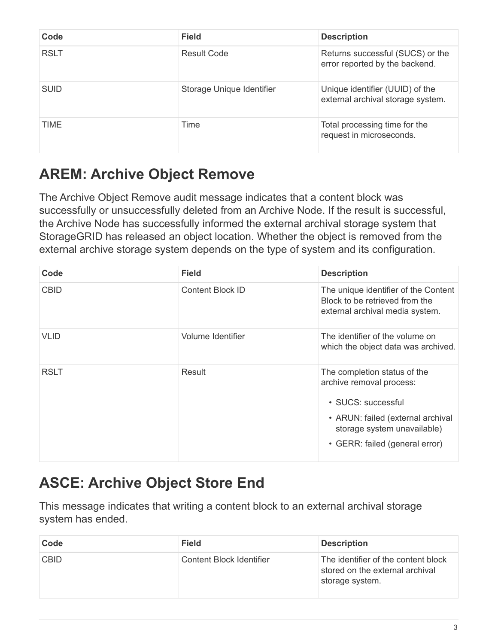| Code        | <b>Field</b>              | <b>Description</b>                                                   |
|-------------|---------------------------|----------------------------------------------------------------------|
| <b>RSLT</b> | <b>Result Code</b>        | Returns successful (SUCS) or the<br>error reported by the backend.   |
| <b>SUID</b> | Storage Unique Identifier | Unique identifier (UUID) of the<br>external archival storage system. |
| TIME        | Time                      | Total processing time for the<br>request in microseconds.            |

## <span id="page-5-0"></span>**AREM: Archive Object Remove**

The Archive Object Remove audit message indicates that a content block was successfully or unsuccessfully deleted from an Archive Node. If the result is successful, the Archive Node has successfully informed the external archival storage system that StorageGRID has released an object location. Whether the object is removed from the external archive storage system depends on the type of system and its configuration.

| Code        | <b>Field</b>      | <b>Description</b>                                                                                                                                                                   |
|-------------|-------------------|--------------------------------------------------------------------------------------------------------------------------------------------------------------------------------------|
| <b>CBID</b> | Content Block ID  | The unique identifier of the Content<br>Block to be retrieved from the<br>external archival media system.                                                                            |
| <b>VLID</b> | Volume Identifier | The identifier of the volume on<br>which the object data was archived.                                                                                                               |
| <b>RSLT</b> | Result            | The completion status of the<br>archive removal process:<br>• SUCS: successful<br>• ARUN: failed (external archival<br>storage system unavailable)<br>• GERR: failed (general error) |

## <span id="page-5-1"></span>**ASCE: Archive Object Store End**

This message indicates that writing a content block to an external archival storage system has ended.

| Code        | <b>Field</b>                    | <b>Description</b>                                                                        |
|-------------|---------------------------------|-------------------------------------------------------------------------------------------|
| <b>CBID</b> | <b>Content Block Identifier</b> | The identifier of the content block<br>stored on the external archival<br>storage system. |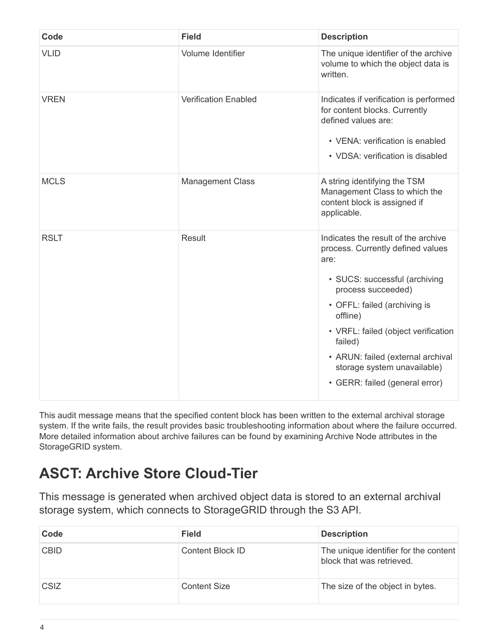| Code        | <b>Field</b>                | <b>Description</b>                                                                                                                                                                                                                                                                                                                          |
|-------------|-----------------------------|---------------------------------------------------------------------------------------------------------------------------------------------------------------------------------------------------------------------------------------------------------------------------------------------------------------------------------------------|
| <b>VLID</b> | Volume Identifier           | The unique identifier of the archive<br>volume to which the object data is<br>written.                                                                                                                                                                                                                                                      |
| <b>VREN</b> | <b>Verification Enabled</b> | Indicates if verification is performed<br>for content blocks. Currently<br>defined values are:<br>• VENA: verification is enabled<br>• VDSA: verification is disabled                                                                                                                                                                       |
| <b>MCLS</b> | <b>Management Class</b>     | A string identifying the TSM<br>Management Class to which the<br>content block is assigned if<br>applicable.                                                                                                                                                                                                                                |
| <b>RSLT</b> | Result                      | Indicates the result of the archive<br>process. Currently defined values<br>are:<br>· SUCS: successful (archiving<br>process succeeded)<br>• OFFL: failed (archiving is<br>offline)<br>• VRFL: failed (object verification<br>failed)<br>• ARUN: failed (external archival<br>storage system unavailable)<br>• GERR: failed (general error) |

This audit message means that the specified content block has been written to the external archival storage system. If the write fails, the result provides basic troubleshooting information about where the failure occurred. More detailed information about archive failures can be found by examining Archive Node attributes in the StorageGRID system.

#### <span id="page-6-0"></span>**ASCT: Archive Store Cloud-Tier**

This message is generated when archived object data is stored to an external archival storage system, which connects to StorageGRID through the S3 API.

| Code        | <b>Field</b>        | <b>Description</b>                                                 |
|-------------|---------------------|--------------------------------------------------------------------|
| <b>CBID</b> | Content Block ID    | The unique identifier for the content<br>block that was retrieved. |
| <b>CSIZ</b> | <b>Content Size</b> | The size of the object in bytes.                                   |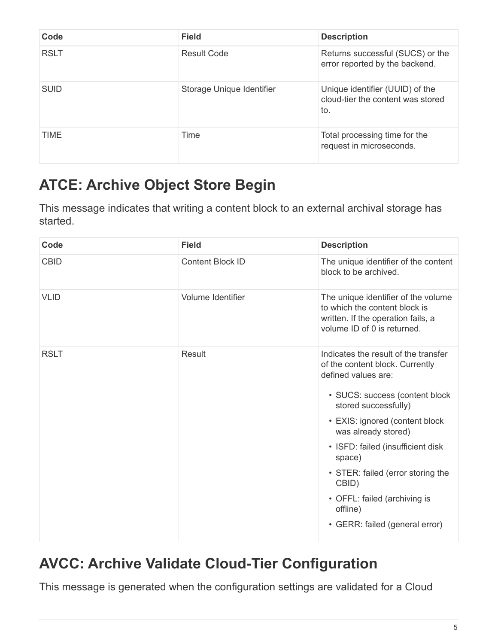| Code        | <b>Field</b>              | <b>Description</b>                                                          |
|-------------|---------------------------|-----------------------------------------------------------------------------|
| <b>RSLT</b> | <b>Result Code</b>        | Returns successful (SUCS) or the<br>error reported by the backend.          |
| <b>SUID</b> | Storage Unique Identifier | Unique identifier (UUID) of the<br>cloud-tier the content was stored<br>to. |
| <b>TIME</b> | Time                      | Total processing time for the<br>request in microseconds.                   |

# <span id="page-7-0"></span>**ATCE: Archive Object Store Begin**

This message indicates that writing a content block to an external archival storage has started.

| Code        | <b>Field</b>            | <b>Description</b>                                                                                                                                                                                                                                                                                                                                                                           |
|-------------|-------------------------|----------------------------------------------------------------------------------------------------------------------------------------------------------------------------------------------------------------------------------------------------------------------------------------------------------------------------------------------------------------------------------------------|
| <b>CBID</b> | <b>Content Block ID</b> | The unique identifier of the content<br>block to be archived.                                                                                                                                                                                                                                                                                                                                |
| <b>VLID</b> | Volume Identifier       | The unique identifier of the volume<br>to which the content block is<br>written. If the operation fails, a<br>volume ID of 0 is returned.                                                                                                                                                                                                                                                    |
| <b>RSLT</b> | Result                  | Indicates the result of the transfer<br>of the content block. Currently<br>defined values are:<br>• SUCS: success (content block<br>stored successfully)<br>• EXIS: ignored (content block<br>was already stored)<br>• ISFD: failed (insufficient disk<br>space)<br>• STER: failed (error storing the<br>CBID)<br>• OFFL: failed (archiving is<br>offline)<br>• GERR: failed (general error) |

# <span id="page-7-1"></span>**AVCC: Archive Validate Cloud-Tier Configuration**

This message is generated when the configuration settings are validated for a Cloud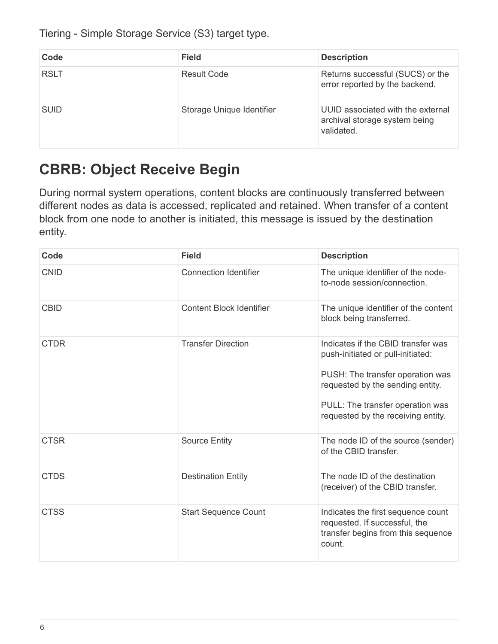Tiering - Simple Storage Service (S3) target type.

| Code        | <b>Field</b>              | <b>Description</b>                                                               |
|-------------|---------------------------|----------------------------------------------------------------------------------|
| <b>RSLT</b> | <b>Result Code</b>        | Returns successful (SUCS) or the<br>error reported by the backend.               |
| <b>SUID</b> | Storage Unique Identifier | UUID associated with the external<br>archival storage system being<br>validated. |

# <span id="page-8-0"></span>**CBRB: Object Receive Begin**

During normal system operations, content blocks are continuously transferred between different nodes as data is accessed, replicated and retained. When transfer of a content block from one node to another is initiated, this message is issued by the destination entity.

| Code        | <b>Field</b>                    | <b>Description</b>                                                                                                                                                                                                        |
|-------------|---------------------------------|---------------------------------------------------------------------------------------------------------------------------------------------------------------------------------------------------------------------------|
| <b>CNID</b> | <b>Connection Identifier</b>    | The unique identifier of the node-<br>to-node session/connection.                                                                                                                                                         |
| <b>CBID</b> | <b>Content Block Identifier</b> | The unique identifier of the content<br>block being transferred.                                                                                                                                                          |
| <b>CTDR</b> | <b>Transfer Direction</b>       | Indicates if the CBID transfer was<br>push-initiated or pull-initiated:<br>PUSH: The transfer operation was<br>requested by the sending entity.<br>PULL: The transfer operation was<br>requested by the receiving entity. |
| <b>CTSR</b> | <b>Source Entity</b>            | The node ID of the source (sender)<br>of the CBID transfer.                                                                                                                                                               |
| <b>CTDS</b> | <b>Destination Entity</b>       | The node ID of the destination<br>(receiver) of the CBID transfer.                                                                                                                                                        |
| <b>CTSS</b> | <b>Start Sequence Count</b>     | Indicates the first sequence count<br>requested. If successful, the<br>transfer begins from this sequence<br>count.                                                                                                       |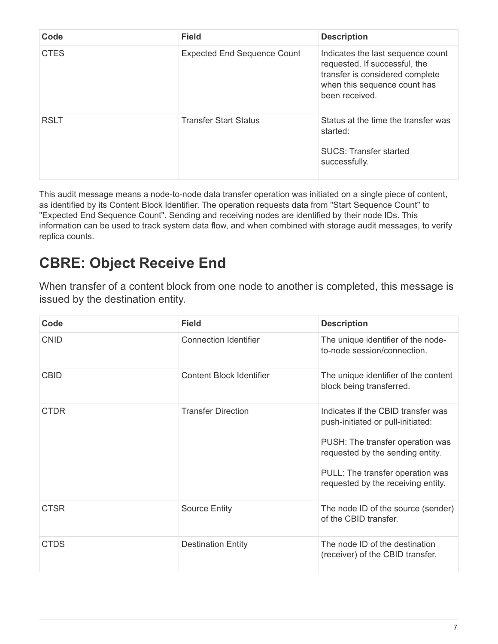| Code        | <b>Field</b>                       | <b>Description</b>                                                                                                                                      |
|-------------|------------------------------------|---------------------------------------------------------------------------------------------------------------------------------------------------------|
| <b>CTES</b> | <b>Expected End Sequence Count</b> | Indicates the last sequence count<br>requested. If successful, the<br>transfer is considered complete<br>when this sequence count has<br>been received. |
| <b>RSLT</b> | <b>Transfer Start Status</b>       | Status at the time the transfer was<br>started:<br><b>SUCS: Transfer started</b><br>successfully.                                                       |

This audit message means a node-to-node data transfer operation was initiated on a single piece of content, as identified by its Content Block Identifier. The operation requests data from "Start Sequence Count" to "Expected End Sequence Count". Sending and receiving nodes are identified by their node IDs. This information can be used to track system data flow, and when combined with storage audit messages, to verify replica counts.

#### <span id="page-9-0"></span>**CBRE: Object Receive End**

When transfer of a content block from one node to another is completed, this message is issued by the destination entity.

| Code        | <b>Field</b>                    | <b>Description</b>                                                                                                                                                                                                        |
|-------------|---------------------------------|---------------------------------------------------------------------------------------------------------------------------------------------------------------------------------------------------------------------------|
| <b>CNID</b> | <b>Connection Identifier</b>    | The unique identifier of the node-<br>to-node session/connection.                                                                                                                                                         |
| <b>CBID</b> | <b>Content Block Identifier</b> | The unique identifier of the content<br>block being transferred.                                                                                                                                                          |
| <b>CTDR</b> | <b>Transfer Direction</b>       | Indicates if the CBID transfer was<br>push-initiated or pull-initiated:<br>PUSH: The transfer operation was<br>requested by the sending entity.<br>PULL: The transfer operation was<br>requested by the receiving entity. |
| <b>CTSR</b> | <b>Source Entity</b>            | The node ID of the source (sender)<br>of the CBID transfer.                                                                                                                                                               |
| CTDS        | <b>Destination Entity</b>       | The node ID of the destination<br>(receiver) of the CBID transfer.                                                                                                                                                        |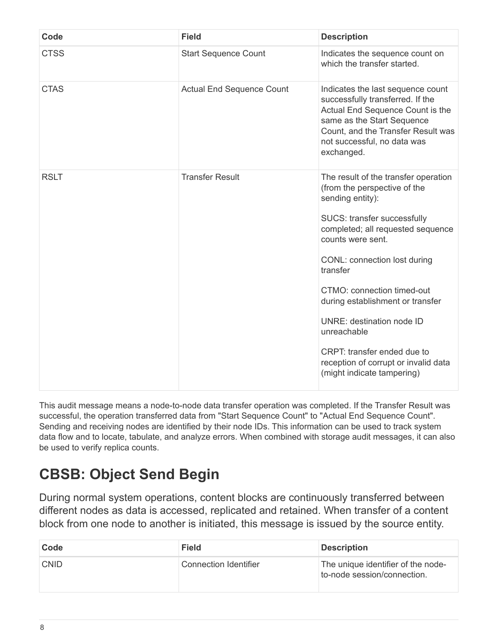| Code        | <b>Field</b>                     | <b>Description</b>                                                                                                                                                                                                                                                                                                                                                                                                                                      |
|-------------|----------------------------------|---------------------------------------------------------------------------------------------------------------------------------------------------------------------------------------------------------------------------------------------------------------------------------------------------------------------------------------------------------------------------------------------------------------------------------------------------------|
| <b>CTSS</b> | <b>Start Sequence Count</b>      | Indicates the sequence count on<br>which the transfer started.                                                                                                                                                                                                                                                                                                                                                                                          |
| <b>CTAS</b> | <b>Actual End Sequence Count</b> | Indicates the last sequence count<br>successfully transferred. If the<br>Actual End Sequence Count is the<br>same as the Start Sequence<br>Count, and the Transfer Result was<br>not successful, no data was<br>exchanged.                                                                                                                                                                                                                              |
| <b>RSLT</b> | <b>Transfer Result</b>           | The result of the transfer operation<br>(from the perspective of the<br>sending entity):<br>SUCS: transfer successfully<br>completed; all requested sequence<br>counts were sent.<br>CONL: connection lost during<br>transfer<br>CTMO: connection timed-out<br>during establishment or transfer<br><b>UNRE: destination node ID</b><br>unreachable<br>CRPT: transfer ended due to<br>reception of corrupt or invalid data<br>(might indicate tampering) |

This audit message means a node-to-node data transfer operation was completed. If the Transfer Result was successful, the operation transferred data from "Start Sequence Count" to "Actual End Sequence Count". Sending and receiving nodes are identified by their node IDs. This information can be used to track system data flow and to locate, tabulate, and analyze errors. When combined with storage audit messages, it can also be used to verify replica counts.

# <span id="page-10-0"></span>**CBSB: Object Send Begin**

During normal system operations, content blocks are continuously transferred between different nodes as data is accessed, replicated and retained. When transfer of a content block from one node to another is initiated, this message is issued by the source entity.

| Code        | <b>Field</b>          | <b>Description</b>                                                |
|-------------|-----------------------|-------------------------------------------------------------------|
| <b>CNID</b> | Connection Identifier | The unique identifier of the node-<br>to-node session/connection. |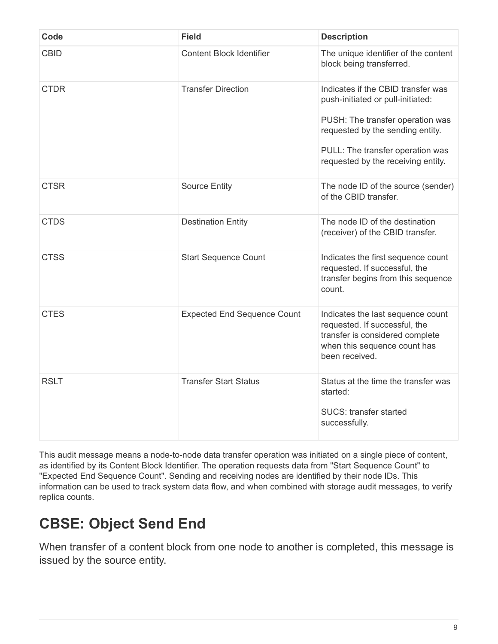| Code        | <b>Field</b>                       | <b>Description</b>                                                                                                                                                                                                        |
|-------------|------------------------------------|---------------------------------------------------------------------------------------------------------------------------------------------------------------------------------------------------------------------------|
| <b>CBID</b> | <b>Content Block Identifier</b>    | The unique identifier of the content<br>block being transferred.                                                                                                                                                          |
| <b>CTDR</b> | <b>Transfer Direction</b>          | Indicates if the CBID transfer was<br>push-initiated or pull-initiated:<br>PUSH: The transfer operation was<br>requested by the sending entity.<br>PULL: The transfer operation was<br>requested by the receiving entity. |
| <b>CTSR</b> | <b>Source Entity</b>               | The node ID of the source (sender)<br>of the CBID transfer.                                                                                                                                                               |
| <b>CTDS</b> | <b>Destination Entity</b>          | The node ID of the destination<br>(receiver) of the CBID transfer.                                                                                                                                                        |
| <b>CTSS</b> | <b>Start Sequence Count</b>        | Indicates the first sequence count<br>requested. If successful, the<br>transfer begins from this sequence<br>count.                                                                                                       |
| <b>CTES</b> | <b>Expected End Sequence Count</b> | Indicates the last sequence count<br>requested. If successful, the<br>transfer is considered complete<br>when this sequence count has<br>been received.                                                                   |
| <b>RSLT</b> | <b>Transfer Start Status</b>       | Status at the time the transfer was<br>started:<br><b>SUCS: transfer started</b><br>successfully.                                                                                                                         |

This audit message means a node-to-node data transfer operation was initiated on a single piece of content, as identified by its Content Block Identifier. The operation requests data from "Start Sequence Count" to "Expected End Sequence Count". Sending and receiving nodes are identified by their node IDs. This information can be used to track system data flow, and when combined with storage audit messages, to verify replica counts.

# <span id="page-11-0"></span>**CBSE: Object Send End**

When transfer of a content block from one node to another is completed, this message is issued by the source entity.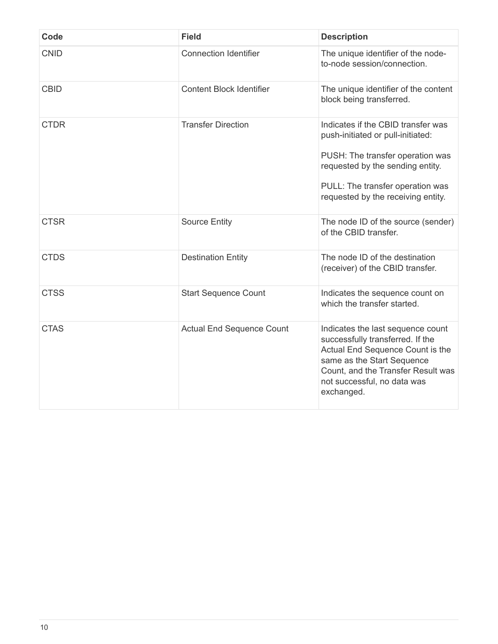| Code        | <b>Field</b>                     | <b>Description</b>                                                                                                                                                                                                         |
|-------------|----------------------------------|----------------------------------------------------------------------------------------------------------------------------------------------------------------------------------------------------------------------------|
| <b>CNID</b> | <b>Connection Identifier</b>     | The unique identifier of the node-<br>to-node session/connection.                                                                                                                                                          |
| <b>CBID</b> | <b>Content Block Identifier</b>  | The unique identifier of the content<br>block being transferred.                                                                                                                                                           |
| <b>CTDR</b> | <b>Transfer Direction</b>        | Indicates if the CBID transfer was<br>push-initiated or pull-initiated:<br>PUSH: The transfer operation was<br>requested by the sending entity.<br>PULL: The transfer operation was<br>requested by the receiving entity.  |
| <b>CTSR</b> | <b>Source Entity</b>             | The node ID of the source (sender)<br>of the CBID transfer.                                                                                                                                                                |
| <b>CTDS</b> | <b>Destination Entity</b>        | The node ID of the destination<br>(receiver) of the CBID transfer.                                                                                                                                                         |
| <b>CTSS</b> | <b>Start Sequence Count</b>      | Indicates the sequence count on<br>which the transfer started.                                                                                                                                                             |
| <b>CTAS</b> | <b>Actual End Sequence Count</b> | Indicates the last sequence count<br>successfully transferred. If the<br>Actual End Sequence Count is the<br>same as the Start Sequence<br>Count, and the Transfer Result was<br>not successful, no data was<br>exchanged. |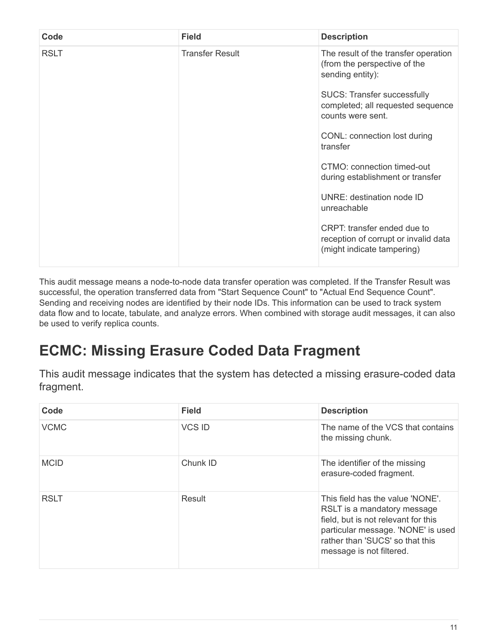| Code        | <b>Field</b>           | <b>Description</b>                                                                                |
|-------------|------------------------|---------------------------------------------------------------------------------------------------|
| <b>RSLT</b> | <b>Transfer Result</b> | The result of the transfer operation<br>(from the perspective of the<br>sending entity):          |
|             |                        | <b>SUCS: Transfer successfully</b><br>completed; all requested sequence<br>counts were sent.      |
|             |                        | CONL: connection lost during<br>transfer                                                          |
|             |                        | CTMO: connection timed-out<br>during establishment or transfer                                    |
|             |                        | UNRE: destination node ID<br>unreachable                                                          |
|             |                        | CRPT: transfer ended due to<br>reception of corrupt or invalid data<br>(might indicate tampering) |

This audit message means a node-to-node data transfer operation was completed. If the Transfer Result was successful, the operation transferred data from "Start Sequence Count" to "Actual End Sequence Count". Sending and receiving nodes are identified by their node IDs. This information can be used to track system data flow and to locate, tabulate, and analyze errors. When combined with storage audit messages, it can also be used to verify replica counts.

# <span id="page-13-0"></span>**ECMC: Missing Erasure Coded Data Fragment**

This audit message indicates that the system has detected a missing erasure-coded data fragment.

| Code        | <b>Field</b>  | <b>Description</b>                                                                                                                                                                                          |
|-------------|---------------|-------------------------------------------------------------------------------------------------------------------------------------------------------------------------------------------------------------|
| <b>VCMC</b> | <b>VCS ID</b> | The name of the VCS that contains<br>the missing chunk.                                                                                                                                                     |
| <b>MCID</b> | Chunk ID      | The identifier of the missing<br>erasure-coded fragment.                                                                                                                                                    |
| <b>RSLT</b> | Result        | This field has the value 'NONE'.<br>RSLT is a mandatory message<br>field, but is not relevant for this<br>particular message. 'NONE' is used<br>rather than 'SUCS' so that this<br>message is not filtered. |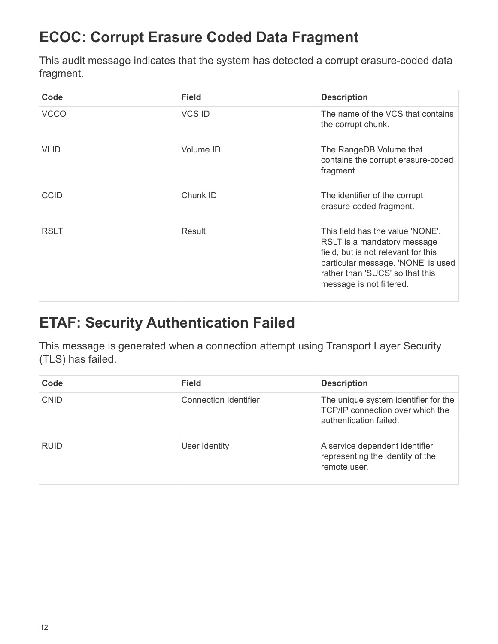# <span id="page-14-0"></span>**ECOC: Corrupt Erasure Coded Data Fragment**

This audit message indicates that the system has detected a corrupt erasure-coded data fragment.

| Code        | <b>Field</b>  | <b>Description</b>                                                                                                                                                                                          |
|-------------|---------------|-------------------------------------------------------------------------------------------------------------------------------------------------------------------------------------------------------------|
| <b>VCCO</b> | <b>VCS ID</b> | The name of the VCS that contains<br>the corrupt chunk.                                                                                                                                                     |
| <b>VLID</b> | Volume ID     | The RangeDB Volume that<br>contains the corrupt erasure-coded<br>fragment.                                                                                                                                  |
| <b>CCID</b> | Chunk ID      | The identifier of the corrupt<br>erasure-coded fragment.                                                                                                                                                    |
| <b>RSLT</b> | Result        | This field has the value 'NONE'.<br>RSLT is a mandatory message<br>field, but is not relevant for this<br>particular message. 'NONE' is used<br>rather than 'SUCS' so that this<br>message is not filtered. |

#### <span id="page-14-1"></span>**ETAF: Security Authentication Failed**

This message is generated when a connection attempt using Transport Layer Security (TLS) has failed.

| Code        | <b>Field</b>          | <b>Description</b>                                                                                 |
|-------------|-----------------------|----------------------------------------------------------------------------------------------------|
| <b>CNID</b> | Connection Identifier | The unique system identifier for the<br>TCP/IP connection over which the<br>authentication failed. |
| <b>RUID</b> | User Identity         | A service dependent identifier<br>representing the identity of the<br>remote user.                 |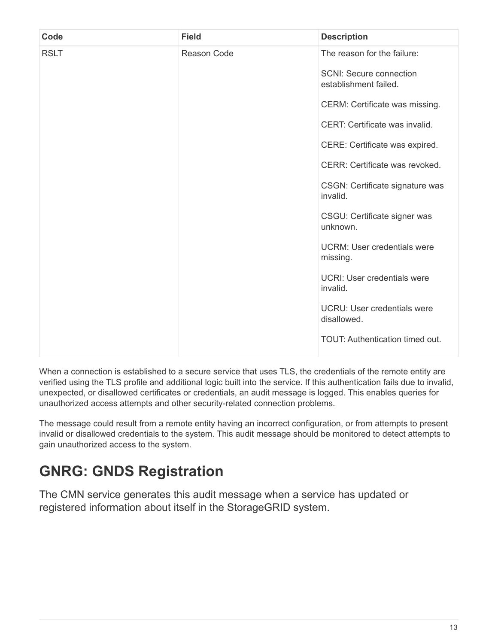| Code        | <b>Field</b> | <b>Description</b>                                      |
|-------------|--------------|---------------------------------------------------------|
| <b>RSLT</b> | Reason Code  | The reason for the failure:                             |
|             |              | <b>SCNI: Secure connection</b><br>establishment failed. |
|             |              | CERM: Certificate was missing.                          |
|             |              | CERT: Certificate was invalid.                          |
|             |              | CERE: Certificate was expired.                          |
|             |              | CERR: Certificate was revoked.                          |
|             |              | CSGN: Certificate signature was<br>invalid.             |
|             |              | CSGU: Certificate signer was<br>unknown.                |
|             |              | <b>UCRM: User credentials were</b><br>missing.          |
|             |              | UCRI: User credentials were<br>invalid.                 |
|             |              | <b>UCRU: User credentials were</b><br>disallowed.       |
|             |              | TOUT: Authentication timed out.                         |

When a connection is established to a secure service that uses TLS, the credentials of the remote entity are verified using the TLS profile and additional logic built into the service. If this authentication fails due to invalid, unexpected, or disallowed certificates or credentials, an audit message is logged. This enables queries for unauthorized access attempts and other security-related connection problems.

The message could result from a remote entity having an incorrect configuration, or from attempts to present invalid or disallowed credentials to the system. This audit message should be monitored to detect attempts to gain unauthorized access to the system.

## <span id="page-15-0"></span>**GNRG: GNDS Registration**

The CMN service generates this audit message when a service has updated or registered information about itself in the StorageGRID system.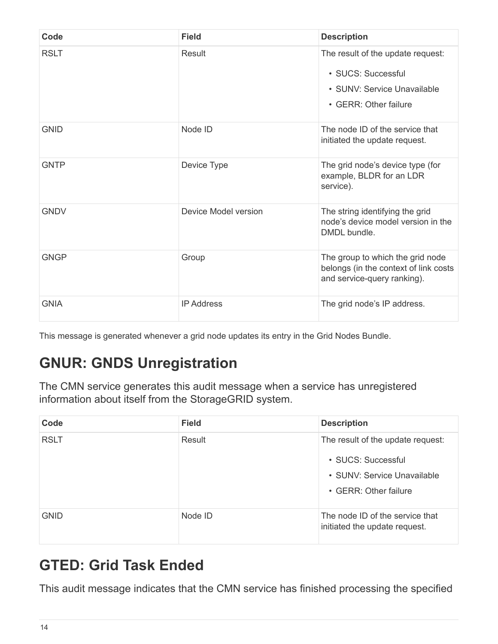| Code        | <b>Field</b>         | <b>Description</b>                                                                                              |
|-------------|----------------------|-----------------------------------------------------------------------------------------------------------------|
| <b>RSLT</b> | Result               | The result of the update request:<br>• SUCS: Successful<br>• SUNV: Service Unavailable<br>• GERR: Other failure |
| <b>GNID</b> | Node ID              | The node ID of the service that<br>initiated the update request.                                                |
| <b>GNTP</b> | Device Type          | The grid node's device type (for<br>example, BLDR for an LDR<br>service).                                       |
| <b>GNDV</b> | Device Model version | The string identifying the grid<br>node's device model version in the<br>DMDL bundle.                           |
| GNGP        | Group                | The group to which the grid node<br>belongs (in the context of link costs<br>and service-query ranking).        |
| <b>GNIA</b> | <b>IP Address</b>    | The grid node's IP address.                                                                                     |

This message is generated whenever a grid node updates its entry in the Grid Nodes Bundle.

## <span id="page-16-0"></span>**GNUR: GNDS Unregistration**

The CMN service generates this audit message when a service has unregistered information about itself from the StorageGRID system.

| Code        | <b>Field</b> | <b>Description</b>                                                                                              |
|-------------|--------------|-----------------------------------------------------------------------------------------------------------------|
| <b>RSLT</b> | Result       | The result of the update request:<br>• SUCS: Successful<br>• SUNV: Service Unavailable<br>• GERR: Other failure |
| <b>GNID</b> | Node ID      | The node ID of the service that<br>initiated the update request.                                                |

# <span id="page-16-1"></span>**GTED: Grid Task Ended**

This audit message indicates that the CMN service has finished processing the specified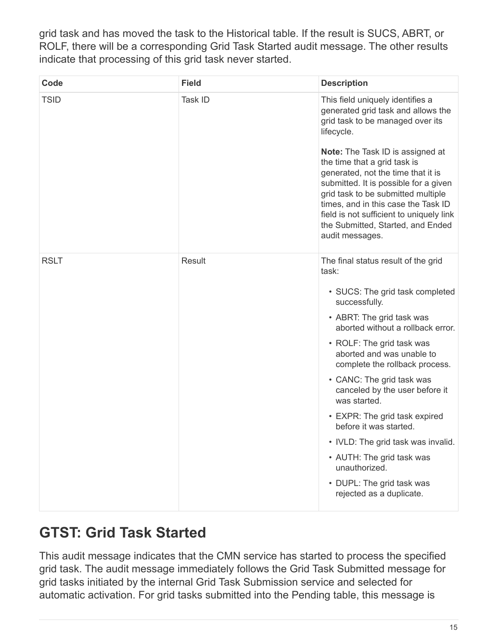grid task and has moved the task to the Historical table. If the result is SUCS, ABRT, or ROLF, there will be a corresponding Grid Task Started audit message. The other results indicate that processing of this grid task never started.

| Code        | <b>Field</b> | <b>Description</b>                                                                                                                                                                                                                                                                                                                                                                                                                                                                                                                                    |
|-------------|--------------|-------------------------------------------------------------------------------------------------------------------------------------------------------------------------------------------------------------------------------------------------------------------------------------------------------------------------------------------------------------------------------------------------------------------------------------------------------------------------------------------------------------------------------------------------------|
| <b>TSID</b> | Task ID      | This field uniquely identifies a<br>generated grid task and allows the<br>grid task to be managed over its<br>lifecycle.<br><b>Note:</b> The Task ID is assigned at<br>the time that a grid task is<br>generated, not the time that it is<br>submitted. It is possible for a given<br>grid task to be submitted multiple<br>times, and in this case the Task ID<br>field is not sufficient to uniquely link<br>the Submitted, Started, and Ended<br>audit messages.                                                                                   |
| <b>RSLT</b> | Result       | The final status result of the grid<br>task:<br>• SUCS: The grid task completed<br>successfully.<br>• ABRT: The grid task was<br>aborted without a rollback error.<br>• ROLF: The grid task was<br>aborted and was unable to<br>complete the rollback process.<br>• CANC: The grid task was<br>canceled by the user before it<br>was started.<br>• EXPR: The grid task expired<br>before it was started.<br>• IVLD: The grid task was invalid.<br>• AUTH: The grid task was<br>unauthorized.<br>• DUPL: The grid task was<br>rejected as a duplicate. |

## <span id="page-17-0"></span>**GTST: Grid Task Started**

This audit message indicates that the CMN service has started to process the specified grid task. The audit message immediately follows the Grid Task Submitted message for grid tasks initiated by the internal Grid Task Submission service and selected for automatic activation. For grid tasks submitted into the Pending table, this message is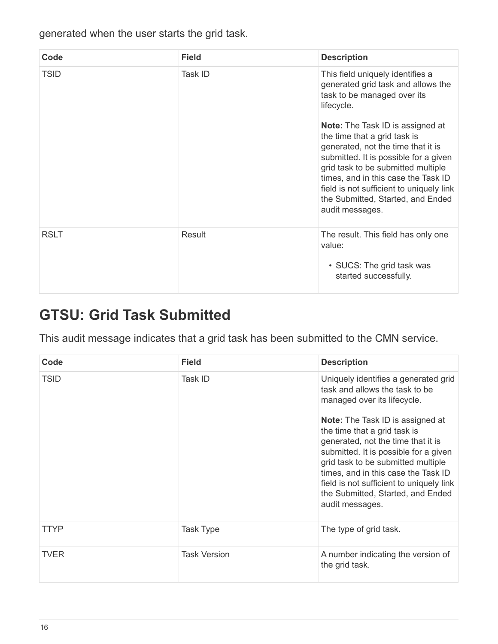generated when the user starts the grid task.

| Code        | <b>Field</b> | <b>Description</b>                                                                                                                                                                                                                                                                                                                      |
|-------------|--------------|-----------------------------------------------------------------------------------------------------------------------------------------------------------------------------------------------------------------------------------------------------------------------------------------------------------------------------------------|
| <b>TSID</b> | Task ID      | This field uniquely identifies a<br>generated grid task and allows the<br>task to be managed over its<br>lifecycle.                                                                                                                                                                                                                     |
|             |              | <b>Note:</b> The Task ID is assigned at<br>the time that a grid task is<br>generated, not the time that it is<br>submitted. It is possible for a given<br>grid task to be submitted multiple<br>times, and in this case the Task ID<br>field is not sufficient to uniquely link<br>the Submitted, Started, and Ended<br>audit messages. |
| <b>RSLT</b> | Result       | The result. This field has only one<br>value:<br>• SUCS: The grid task was<br>started successfully.                                                                                                                                                                                                                                     |

#### <span id="page-18-0"></span>**GTSU: Grid Task Submitted**

This audit message indicates that a grid task has been submitted to the CMN service.

| Code        | <b>Field</b>        | <b>Description</b>                                                                                                                                                                                                                                                                                                                                                                                                                               |
|-------------|---------------------|--------------------------------------------------------------------------------------------------------------------------------------------------------------------------------------------------------------------------------------------------------------------------------------------------------------------------------------------------------------------------------------------------------------------------------------------------|
| <b>TSID</b> | Task ID             | Uniquely identifies a generated grid<br>task and allows the task to be<br>managed over its lifecycle.<br><b>Note:</b> The Task ID is assigned at<br>the time that a grid task is<br>generated, not the time that it is<br>submitted. It is possible for a given<br>grid task to be submitted multiple<br>times, and in this case the Task ID<br>field is not sufficient to uniquely link<br>the Submitted, Started, and Ended<br>audit messages. |
| TTYP        | Task Type           | The type of grid task.                                                                                                                                                                                                                                                                                                                                                                                                                           |
|             |                     |                                                                                                                                                                                                                                                                                                                                                                                                                                                  |
| <b>TVER</b> | <b>Task Version</b> | A number indicating the version of<br>the grid task.                                                                                                                                                                                                                                                                                                                                                                                             |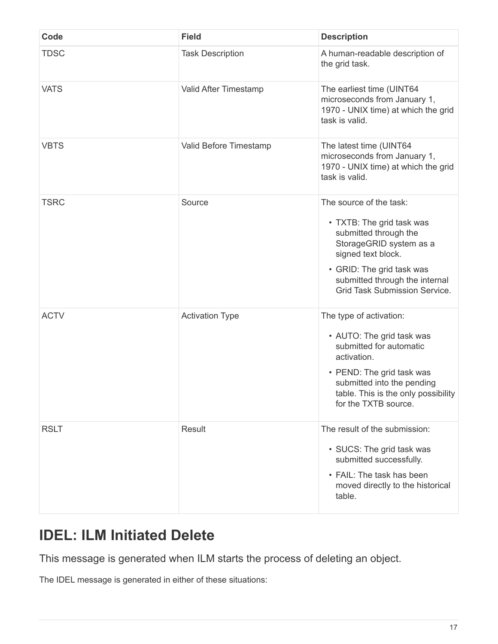| Code        | <b>Field</b>            | <b>Description</b>                                                                                                                                                                                                                    |
|-------------|-------------------------|---------------------------------------------------------------------------------------------------------------------------------------------------------------------------------------------------------------------------------------|
| <b>TDSC</b> | <b>Task Description</b> | A human-readable description of<br>the grid task.                                                                                                                                                                                     |
| <b>VATS</b> | Valid After Timestamp   | The earliest time (UINT64<br>microseconds from January 1,<br>1970 - UNIX time) at which the grid<br>task is valid.                                                                                                                    |
| <b>VBTS</b> | Valid Before Timestamp  | The latest time (UINT64<br>microseconds from January 1,<br>1970 - UNIX time) at which the grid<br>task is valid.                                                                                                                      |
| <b>TSRC</b> | Source                  | The source of the task:<br>• TXTB: The grid task was<br>submitted through the<br>StorageGRID system as a<br>signed text block.<br>• GRID: The grid task was<br>submitted through the internal<br><b>Grid Task Submission Service.</b> |
| <b>ACTV</b> | <b>Activation Type</b>  | The type of activation:<br>• AUTO: The grid task was<br>submitted for automatic<br>activation.<br>• PEND: The grid task was<br>submitted into the pending<br>table. This is the only possibility<br>for the TXTB source.              |
| <b>RSLT</b> | Result                  | The result of the submission:<br>• SUCS: The grid task was<br>submitted successfully.<br>• FAIL: The task has been<br>moved directly to the historical<br>table.                                                                      |

#### <span id="page-19-0"></span>**IDEL: ILM Initiated Delete**

This message is generated when ILM starts the process of deleting an object.

The IDEL message is generated in either of these situations: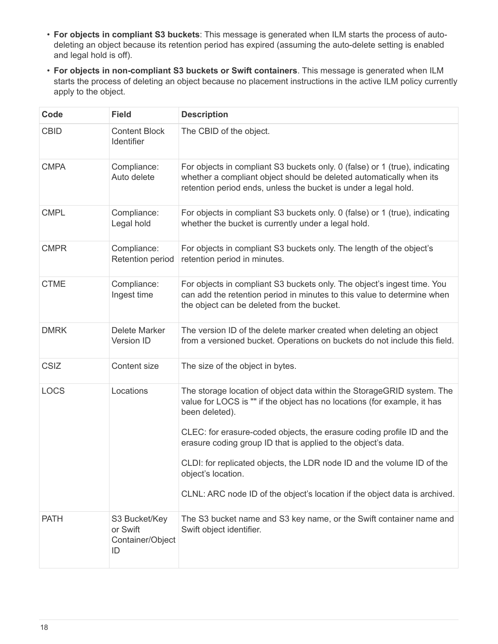- **For objects in compliant S3 buckets**: This message is generated when ILM starts the process of autodeleting an object because its retention period has expired (assuming the auto-delete setting is enabled and legal hold is off).
- **For objects in non-compliant S3 buckets or Swift containers**. This message is generated when ILM starts the process of deleting an object because no placement instructions in the active ILM policy currently apply to the object.

| Code        | <b>Field</b>                                        | <b>Description</b>                                                                                                                                                                                                                                                                                                                                                                        |
|-------------|-----------------------------------------------------|-------------------------------------------------------------------------------------------------------------------------------------------------------------------------------------------------------------------------------------------------------------------------------------------------------------------------------------------------------------------------------------------|
| <b>CBID</b> | <b>Content Block</b><br>Identifier                  | The CBID of the object.                                                                                                                                                                                                                                                                                                                                                                   |
| <b>CMPA</b> | Compliance:<br>Auto delete                          | For objects in compliant S3 buckets only. 0 (false) or 1 (true), indicating<br>whether a compliant object should be deleted automatically when its<br>retention period ends, unless the bucket is under a legal hold.                                                                                                                                                                     |
| <b>CMPL</b> | Compliance:<br>Legal hold                           | For objects in compliant S3 buckets only. 0 (false) or 1 (true), indicating<br>whether the bucket is currently under a legal hold.                                                                                                                                                                                                                                                        |
| <b>CMPR</b> | Compliance:<br><b>Retention period</b>              | For objects in compliant S3 buckets only. The length of the object's<br>retention period in minutes.                                                                                                                                                                                                                                                                                      |
| <b>CTME</b> | Compliance:<br>Ingest time                          | For objects in compliant S3 buckets only. The object's ingest time. You<br>can add the retention period in minutes to this value to determine when<br>the object can be deleted from the bucket.                                                                                                                                                                                          |
| <b>DMRK</b> | Delete Marker<br>Version ID                         | The version ID of the delete marker created when deleting an object<br>from a versioned bucket. Operations on buckets do not include this field.                                                                                                                                                                                                                                          |
| <b>CSIZ</b> | Content size                                        | The size of the object in bytes.                                                                                                                                                                                                                                                                                                                                                          |
| <b>LOCS</b> | Locations                                           | The storage location of object data within the StorageGRID system. The<br>value for LOCS is "" if the object has no locations (for example, it has<br>been deleted).<br>CLEC: for erasure-coded objects, the erasure coding profile ID and the<br>erasure coding group ID that is applied to the object's data.<br>CLDI: for replicated objects, the LDR node ID and the volume ID of the |
|             |                                                     | object's location.<br>CLNL: ARC node ID of the object's location if the object data is archived.                                                                                                                                                                                                                                                                                          |
| <b>PATH</b> | S3 Bucket/Key<br>or Swift<br>Container/Object<br>ID | The S3 bucket name and S3 key name, or the Swift container name and<br>Swift object identifier.                                                                                                                                                                                                                                                                                           |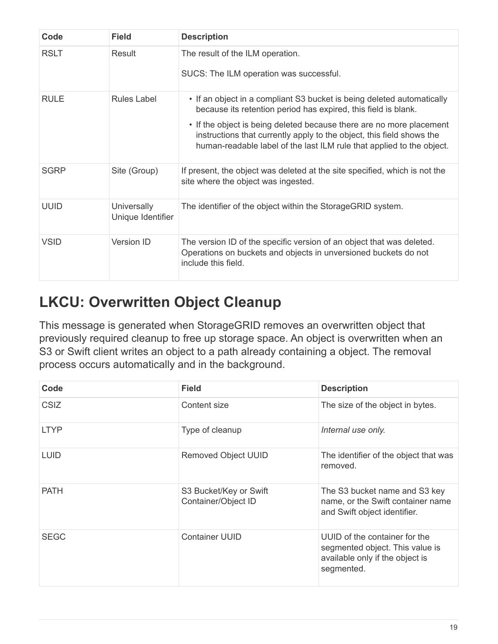| Code        | <b>Field</b>                            | <b>Description</b>                                                                                                                                                                                                                                                                                                                                                 |
|-------------|-----------------------------------------|--------------------------------------------------------------------------------------------------------------------------------------------------------------------------------------------------------------------------------------------------------------------------------------------------------------------------------------------------------------------|
| <b>RSLT</b> | Result                                  | The result of the ILM operation.<br>SUCS: The ILM operation was successful.                                                                                                                                                                                                                                                                                        |
| <b>RULE</b> | <b>Rules Label</b>                      | • If an object in a compliant S3 bucket is being deleted automatically<br>because its retention period has expired, this field is blank.<br>• If the object is being deleted because there are no more placement<br>instructions that currently apply to the object, this field shows the<br>human-readable label of the last ILM rule that applied to the object. |
| <b>SGRP</b> | Site (Group)                            | If present, the object was deleted at the site specified, which is not the<br>site where the object was ingested.                                                                                                                                                                                                                                                  |
| <b>UUID</b> | <b>Universally</b><br>Unique Identifier | The identifier of the object within the StorageGRID system.                                                                                                                                                                                                                                                                                                        |
| <b>VSID</b> | <b>Version ID</b>                       | The version ID of the specific version of an object that was deleted.<br>Operations on buckets and objects in unversioned buckets do not<br>include this field.                                                                                                                                                                                                    |

#### <span id="page-21-0"></span>**LKCU: Overwritten Object Cleanup**

This message is generated when StorageGRID removes an overwritten object that previously required cleanup to free up storage space. An object is overwritten when an S3 or Swift client writes an object to a path already containing a object. The removal process occurs automatically and in the background.

| Code        | <b>Field</b>                                  | <b>Description</b>                                                                                                |
|-------------|-----------------------------------------------|-------------------------------------------------------------------------------------------------------------------|
| <b>CSIZ</b> | Content size                                  | The size of the object in bytes.                                                                                  |
| <b>LTYP</b> | Type of cleanup                               | Internal use only.                                                                                                |
| <b>LUID</b> | <b>Removed Object UUID</b>                    | The identifier of the object that was<br>removed.                                                                 |
| <b>PATH</b> | S3 Bucket/Key or Swift<br>Container/Object ID | The S3 bucket name and S3 key<br>name, or the Swift container name<br>and Swift object identifier.                |
| <b>SEGC</b> | <b>Container UUID</b>                         | UUID of the container for the<br>segmented object. This value is<br>available only if the object is<br>segmented. |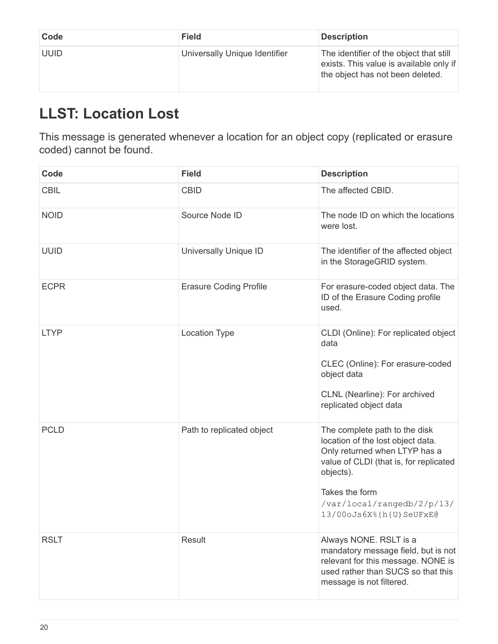| Code        | <b>Field</b>                  | <b>Description</b>                                                                                                     |
|-------------|-------------------------------|------------------------------------------------------------------------------------------------------------------------|
| <b>UUID</b> | Universally Unique Identifier | The identifier of the object that still<br>exists. This value is available only if<br>the object has not been deleted. |

# <span id="page-22-0"></span>**LLST: Location Lost**

This message is generated whenever a location for an object copy (replicated or erasure coded) cannot be found.

| Code        | <b>Field</b>                  | <b>Description</b>                                                                                                                                                                                                                    |
|-------------|-------------------------------|---------------------------------------------------------------------------------------------------------------------------------------------------------------------------------------------------------------------------------------|
| <b>CBIL</b> | <b>CBID</b>                   | The affected CBID.                                                                                                                                                                                                                    |
| <b>NOID</b> | Source Node ID                | The node ID on which the locations<br>were lost.                                                                                                                                                                                      |
| <b>UUID</b> | Universally Unique ID         | The identifier of the affected object<br>in the StorageGRID system.                                                                                                                                                                   |
| <b>ECPR</b> | <b>Erasure Coding Profile</b> | For erasure-coded object data. The<br>ID of the Erasure Coding profile<br>used.                                                                                                                                                       |
| <b>LTYP</b> | <b>Location Type</b>          | CLDI (Online): For replicated object<br>data<br>CLEC (Online): For erasure-coded<br>object data<br>CLNL (Nearline): For archived<br>replicated object data                                                                            |
| <b>PCLD</b> | Path to replicated object     | The complete path to the disk<br>location of the lost object data.<br>Only returned when LTYP has a<br>value of CLDI (that is, for replicated<br>objects).<br>Takes the form<br>/var/local/rangedb/2/p/13/<br>13/00oJs6X%{h{U)SeUFxE@ |
| <b>RSLT</b> | Result                        | Always NONE. RSLT is a<br>mandatory message field, but is not<br>relevant for this message. NONE is<br>used rather than SUCS so that this<br>message is not filtered.                                                                 |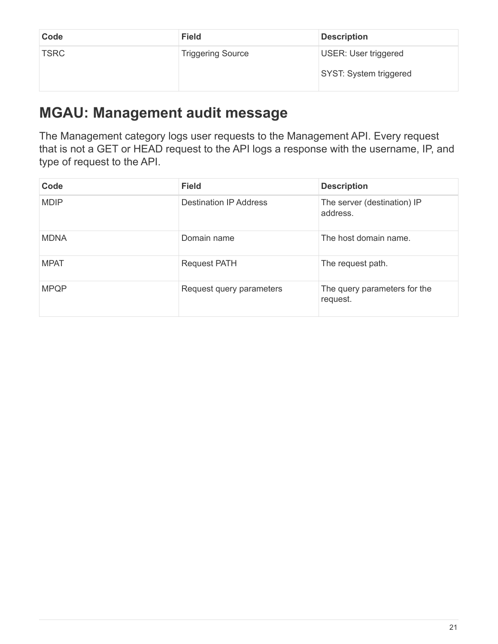| Code        | <b>Field</b>             | <b>Description</b>                                    |
|-------------|--------------------------|-------------------------------------------------------|
| <b>TSRC</b> | <b>Triggering Source</b> | <b>USER: User triggered</b><br>SYST: System triggered |

#### <span id="page-23-0"></span>**MGAU: Management audit message**

The Management category logs user requests to the Management API. Every request that is not a GET or HEAD request to the API logs a response with the username, IP, and type of request to the API.

| Code        | <b>Field</b>                  | <b>Description</b>                       |
|-------------|-------------------------------|------------------------------------------|
| <b>MDIP</b> | <b>Destination IP Address</b> | The server (destination) IP<br>address.  |
| <b>MDNA</b> | Domain name                   | The host domain name.                    |
| <b>MPAT</b> | <b>Request PATH</b>           | The request path.                        |
| <b>MPQP</b> | Request query parameters      | The query parameters for the<br>request. |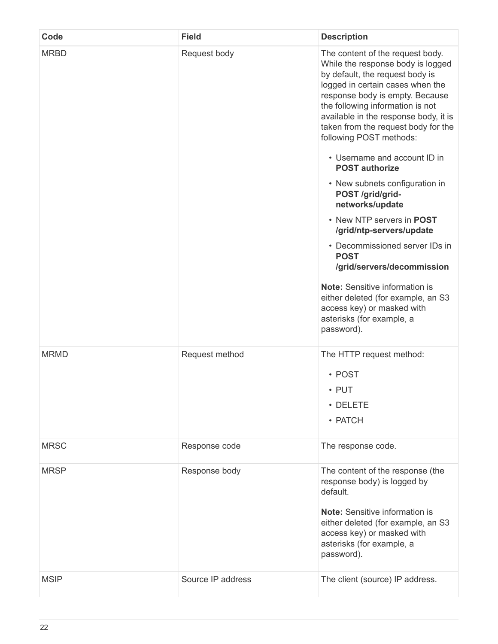| Code        | <b>Field</b>      | <b>Description</b>                                                                                                                                                                                                                                                                                                                                                                                                                                                                                                                                                                                                                                                                                                                                 |
|-------------|-------------------|----------------------------------------------------------------------------------------------------------------------------------------------------------------------------------------------------------------------------------------------------------------------------------------------------------------------------------------------------------------------------------------------------------------------------------------------------------------------------------------------------------------------------------------------------------------------------------------------------------------------------------------------------------------------------------------------------------------------------------------------------|
| <b>MRBD</b> | Request body      | The content of the request body.<br>While the response body is logged<br>by default, the request body is<br>logged in certain cases when the<br>response body is empty. Because<br>the following information is not<br>available in the response body, it is<br>taken from the request body for the<br>following POST methods:<br>• Username and account ID in<br><b>POST authorize</b><br>• New subnets configuration in<br>POST /grid/grid-<br>networks/update<br>• New NTP servers in POST<br>/grid/ntp-servers/update<br>• Decommissioned server IDs in<br><b>POST</b><br>/grid/servers/decommission<br><b>Note:</b> Sensitive information is<br>either deleted (for example, an S3<br>access key) or masked with<br>asterisks (for example, a |
| <b>MRMD</b> | Request method    | password).<br>The HTTP request method:<br>• POST<br>$\cdot$ PUT<br>• DELETE<br>• PATCH                                                                                                                                                                                                                                                                                                                                                                                                                                                                                                                                                                                                                                                             |
| <b>MRSC</b> | Response code     | The response code.                                                                                                                                                                                                                                                                                                                                                                                                                                                                                                                                                                                                                                                                                                                                 |
| <b>MRSP</b> | Response body     | The content of the response (the<br>response body) is logged by<br>default.<br><b>Note:</b> Sensitive information is<br>either deleted (for example, an S3<br>access key) or masked with<br>asterisks (for example, a<br>password).                                                                                                                                                                                                                                                                                                                                                                                                                                                                                                                |
| <b>MSIP</b> | Source IP address | The client (source) IP address.                                                                                                                                                                                                                                                                                                                                                                                                                                                                                                                                                                                                                                                                                                                    |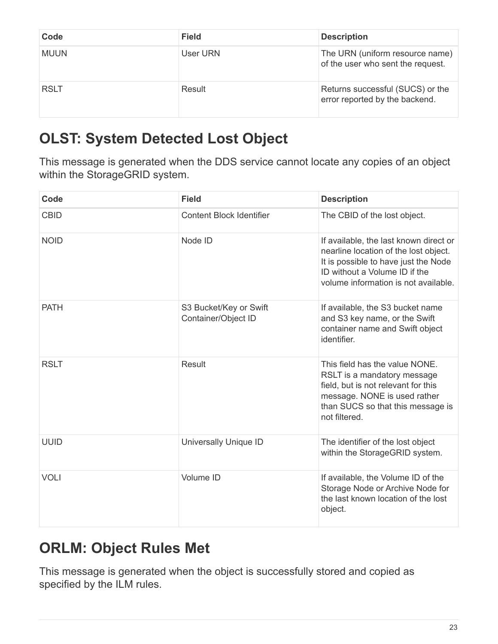| Code        | <b>Field</b> | <b>Description</b>                                                   |
|-------------|--------------|----------------------------------------------------------------------|
| MUUN        | User URN     | The URN (uniform resource name)<br>of the user who sent the request. |
| <b>RSLT</b> | Result       | Returns successful (SUCS) or the<br>error reported by the backend.   |

# <span id="page-25-0"></span>**OLST: System Detected Lost Object**

This message is generated when the DDS service cannot locate any copies of an object within the StorageGRID system.

| Code        | <b>Field</b>                                  | <b>Description</b>                                                                                                                                                                               |
|-------------|-----------------------------------------------|--------------------------------------------------------------------------------------------------------------------------------------------------------------------------------------------------|
| <b>CBID</b> | <b>Content Block Identifier</b>               | The CBID of the lost object.                                                                                                                                                                     |
| <b>NOID</b> | Node ID                                       | If available, the last known direct or<br>nearline location of the lost object.<br>It is possible to have just the Node<br>ID without a Volume ID if the<br>volume information is not available. |
| <b>PATH</b> | S3 Bucket/Key or Swift<br>Container/Object ID | If available, the S3 bucket name<br>and S3 key name, or the Swift<br>container name and Swift object<br>identifier.                                                                              |
| <b>RSLT</b> | <b>Result</b>                                 | This field has the value NONE.<br>RSLT is a mandatory message<br>field, but is not relevant for this<br>message. NONE is used rather<br>than SUCS so that this message is<br>not filtered.       |
| <b>UUID</b> | Universally Unique ID                         | The identifier of the lost object<br>within the StorageGRID system.                                                                                                                              |
| <b>VOLI</b> | Volume ID                                     | If available, the Volume ID of the<br>Storage Node or Archive Node for<br>the last known location of the lost<br>object.                                                                         |

#### <span id="page-25-1"></span>**ORLM: Object Rules Met**

This message is generated when the object is successfully stored and copied as specified by the ILM rules.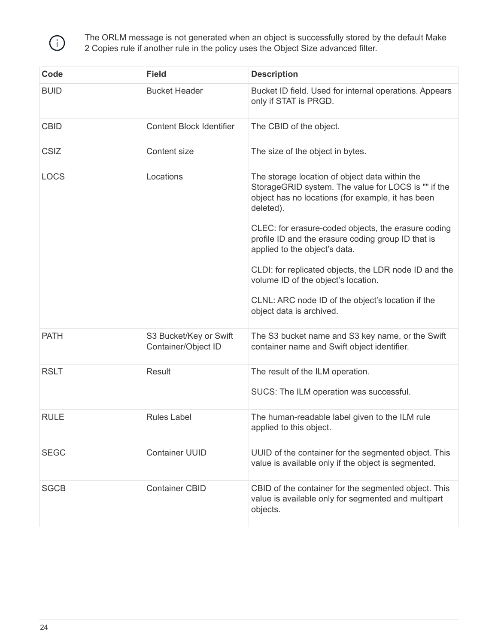

The ORLM message is not generated when an object is successfully stored by the default Make 2 Copies rule if another rule in the policy uses the Object Size advanced filter.

| Code        | <b>Field</b>                                  | <b>Description</b>                                                                                                                                                                                                                                                                                                                                                                                                                                                                                     |
|-------------|-----------------------------------------------|--------------------------------------------------------------------------------------------------------------------------------------------------------------------------------------------------------------------------------------------------------------------------------------------------------------------------------------------------------------------------------------------------------------------------------------------------------------------------------------------------------|
| <b>BUID</b> | <b>Bucket Header</b>                          | Bucket ID field. Used for internal operations. Appears<br>only if STAT is PRGD.                                                                                                                                                                                                                                                                                                                                                                                                                        |
| <b>CBID</b> | <b>Content Block Identifier</b>               | The CBID of the object.                                                                                                                                                                                                                                                                                                                                                                                                                                                                                |
| <b>CSIZ</b> | Content size                                  | The size of the object in bytes.                                                                                                                                                                                                                                                                                                                                                                                                                                                                       |
| <b>LOCS</b> | Locations                                     | The storage location of object data within the<br>StorageGRID system. The value for LOCS is "" if the<br>object has no locations (for example, it has been<br>deleted).<br>CLEC: for erasure-coded objects, the erasure coding<br>profile ID and the erasure coding group ID that is<br>applied to the object's data.<br>CLDI: for replicated objects, the LDR node ID and the<br>volume ID of the object's location.<br>CLNL: ARC node ID of the object's location if the<br>object data is archived. |
| <b>PATH</b> | S3 Bucket/Key or Swift<br>Container/Object ID | The S3 bucket name and S3 key name, or the Swift<br>container name and Swift object identifier.                                                                                                                                                                                                                                                                                                                                                                                                        |
| <b>RSLT</b> | Result                                        | The result of the ILM operation.<br>SUCS: The ILM operation was successful.                                                                                                                                                                                                                                                                                                                                                                                                                            |
| <b>RULE</b> | <b>Rules Label</b>                            | The human-readable label given to the ILM rule<br>applied to this object.                                                                                                                                                                                                                                                                                                                                                                                                                              |
| <b>SEGC</b> | <b>Container UUID</b>                         | UUID of the container for the segmented object. This<br>value is available only if the object is segmented.                                                                                                                                                                                                                                                                                                                                                                                            |
| <b>SGCB</b> | <b>Container CBID</b>                         | CBID of the container for the segmented object. This<br>value is available only for segmented and multipart<br>objects.                                                                                                                                                                                                                                                                                                                                                                                |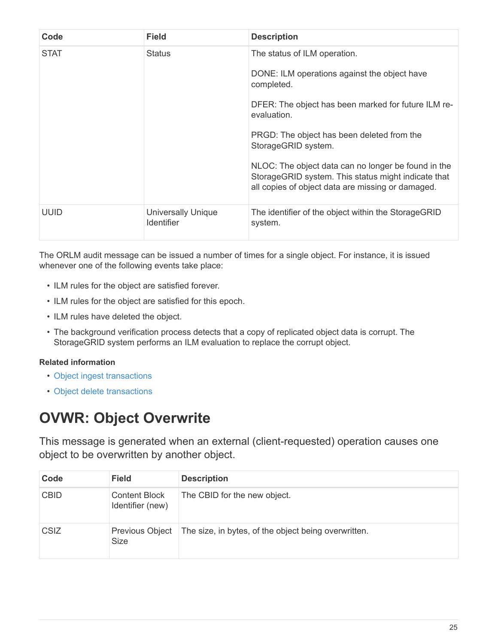| Code        | <b>Field</b>                                   | <b>Description</b>                                                                                                                                                                                                                                                                                                                                                                                       |
|-------------|------------------------------------------------|----------------------------------------------------------------------------------------------------------------------------------------------------------------------------------------------------------------------------------------------------------------------------------------------------------------------------------------------------------------------------------------------------------|
| <b>STAT</b> | <b>Status</b>                                  | The status of ILM operation.<br>DONE: ILM operations against the object have<br>completed.<br>DFER: The object has been marked for future ILM re-<br>evaluation.<br>PRGD: The object has been deleted from the<br>StorageGRID system.<br>NLOC: The object data can no longer be found in the<br>StorageGRID system. This status might indicate that<br>all copies of object data are missing or damaged. |
| <b>UUID</b> | <b>Universally Unique</b><br><b>Identifier</b> | The identifier of the object within the StorageGRID<br>system.                                                                                                                                                                                                                                                                                                                                           |

The ORLM audit message can be issued a number of times for a single object. For instance, it is issued whenever one of the following events take place:

- ILM rules for the object are satisfied forever.
- ILM rules for the object are satisfied for this epoch.
- ILM rules have deleted the object.
- The background verification process detects that a copy of replicated object data is corrupt. The StorageGRID system performs an ILM evaluation to replace the corrupt object.

#### **Related information**

- [Object ingest transactions](https://docs.netapp.com/us-en/storagegrid-116/audit/object-ingest-transactions.html)
- [Object delete transactions](https://docs.netapp.com/us-en/storagegrid-116/audit/object-delete-transactions.html)

#### <span id="page-27-0"></span>**OVWR: Object Overwrite**

This message is generated when an external (client-requested) operation causes one object to be overwritten by another object.

| Code        | <b>Field</b>                             | <b>Description</b>                                   |
|-------------|------------------------------------------|------------------------------------------------------|
| <b>CBID</b> | <b>Content Block</b><br>Identifier (new) | The CBID for the new object.                         |
| <b>CSIZ</b> | <b>Previous Object</b><br>Size           | The size, in bytes, of the object being overwritten. |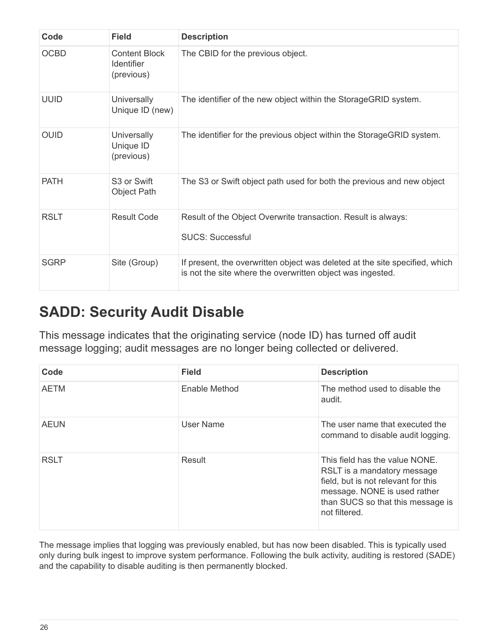| Code        | <b>Field</b>                                            | <b>Description</b>                                                                                                                        |
|-------------|---------------------------------------------------------|-------------------------------------------------------------------------------------------------------------------------------------------|
| <b>OCBD</b> | <b>Content Block</b><br><b>Identifier</b><br>(previous) | The CBID for the previous object.                                                                                                         |
| <b>UUID</b> | <b>Universally</b><br>Unique ID (new)                   | The identifier of the new object within the StorageGRID system.                                                                           |
| <b>OUID</b> | <b>Universally</b><br>Unique ID<br>(previous)           | The identifier for the previous object within the StorageGRID system.                                                                     |
| <b>PATH</b> | S <sub>3</sub> or Swift<br>Object Path                  | The S3 or Swift object path used for both the previous and new object                                                                     |
| <b>RSLT</b> | Result Code                                             | Result of the Object Overwrite transaction. Result is always:<br><b>SUCS: Successful</b>                                                  |
| <b>SGRP</b> | Site (Group)                                            | If present, the overwritten object was deleted at the site specified, which<br>is not the site where the overwritten object was ingested. |

#### <span id="page-28-0"></span>**SADD: Security Audit Disable**

This message indicates that the originating service (node ID) has turned off audit message logging; audit messages are no longer being collected or delivered.

| Code        | <b>Field</b>  | <b>Description</b>                                                                                                                                                                         |
|-------------|---------------|--------------------------------------------------------------------------------------------------------------------------------------------------------------------------------------------|
| <b>AETM</b> | Enable Method | The method used to disable the<br>audit.                                                                                                                                                   |
| <b>AEUN</b> | User Name     | The user name that executed the<br>command to disable audit logging.                                                                                                                       |
| <b>RSLT</b> | Result        | This field has the value NONE.<br>RSLT is a mandatory message<br>field, but is not relevant for this<br>message. NONE is used rather<br>than SUCS so that this message is<br>not filtered. |

The message implies that logging was previously enabled, but has now been disabled. This is typically used only during bulk ingest to improve system performance. Following the bulk activity, auditing is restored (SADE) and the capability to disable auditing is then permanently blocked.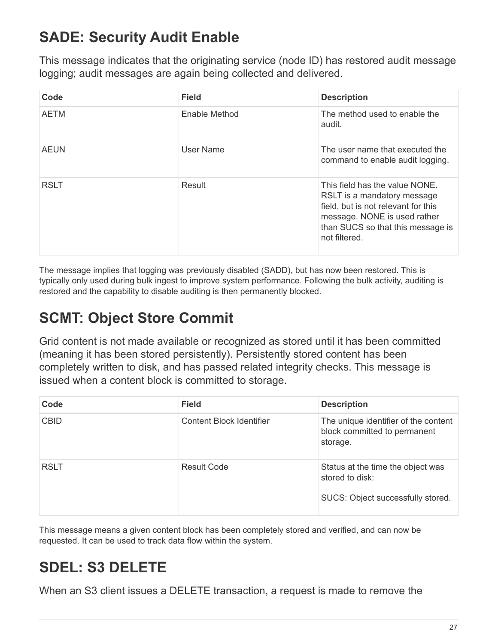# <span id="page-29-0"></span>**SADE: Security Audit Enable**

This message indicates that the originating service (node ID) has restored audit message logging; audit messages are again being collected and delivered.

| Code        | <b>Field</b>  | <b>Description</b>                                                                                                                                                                         |
|-------------|---------------|--------------------------------------------------------------------------------------------------------------------------------------------------------------------------------------------|
| <b>AETM</b> | Enable Method | The method used to enable the<br>audit.                                                                                                                                                    |
| <b>AEUN</b> | User Name     | The user name that executed the<br>command to enable audit logging.                                                                                                                        |
| <b>RSLT</b> | Result        | This field has the value NONE.<br>RSLT is a mandatory message<br>field, but is not relevant for this<br>message. NONE is used rather<br>than SUCS so that this message is<br>not filtered. |

The message implies that logging was previously disabled (SADD), but has now been restored. This is typically only used during bulk ingest to improve system performance. Following the bulk activity, auditing is restored and the capability to disable auditing is then permanently blocked.

# <span id="page-29-1"></span>**SCMT: Object Store Commit**

Grid content is not made available or recognized as stored until it has been committed (meaning it has been stored persistently). Persistently stored content has been completely written to disk, and has passed related integrity checks. This message is issued when a content block is committed to storage.

| Code        | <b>Field</b>                    | <b>Description</b>                                                                        |
|-------------|---------------------------------|-------------------------------------------------------------------------------------------|
| <b>CBID</b> | <b>Content Block Identifier</b> | The unique identifier of the content<br>block committed to permanent<br>storage.          |
| <b>RSLT</b> | <b>Result Code</b>              | Status at the time the object was<br>stored to disk:<br>SUCS: Object successfully stored. |

This message means a given content block has been completely stored and verified, and can now be requested. It can be used to track data flow within the system.

## <span id="page-29-2"></span>**SDEL: S3 DELETE**

When an S3 client issues a DELETE transaction, a request is made to remove the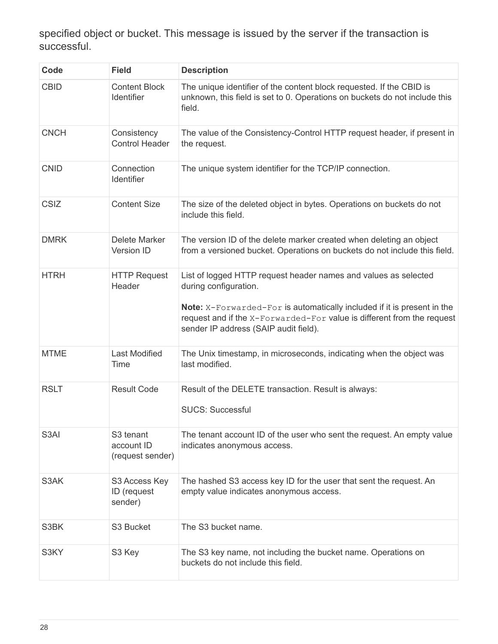specified object or bucket. This message is issued by the server if the transaction is successful.

| Code        | <b>Field</b>                                            | <b>Description</b>                                                                                                                                                                                                                                                                            |
|-------------|---------------------------------------------------------|-----------------------------------------------------------------------------------------------------------------------------------------------------------------------------------------------------------------------------------------------------------------------------------------------|
| <b>CBID</b> | <b>Content Block</b><br>Identifier                      | The unique identifier of the content block requested. If the CBID is<br>unknown, this field is set to 0. Operations on buckets do not include this<br>field.                                                                                                                                  |
| <b>CNCH</b> | Consistency<br><b>Control Header</b>                    | The value of the Consistency-Control HTTP request header, if present in<br>the request.                                                                                                                                                                                                       |
| <b>CNID</b> | Connection<br>Identifier                                | The unique system identifier for the TCP/IP connection.                                                                                                                                                                                                                                       |
| <b>CSIZ</b> | <b>Content Size</b>                                     | The size of the deleted object in bytes. Operations on buckets do not<br>include this field.                                                                                                                                                                                                  |
| <b>DMRK</b> | Delete Marker<br>Version ID                             | The version ID of the delete marker created when deleting an object<br>from a versioned bucket. Operations on buckets do not include this field.                                                                                                                                              |
| <b>HTRH</b> | <b>HTTP Request</b><br>Header                           | List of logged HTTP request header names and values as selected<br>during configuration.<br><b>Note:</b> X-Forwarded-For is automatically included if it is present in the<br>request and if the X-Forwarded-For value is different from the request<br>sender IP address (SAIP audit field). |
| <b>MTME</b> | <b>Last Modified</b><br>Time                            | The Unix timestamp, in microseconds, indicating when the object was<br>last modified.                                                                                                                                                                                                         |
| <b>RSLT</b> | <b>Result Code</b>                                      | Result of the DELETE transaction. Result is always:<br><b>SUCS: Successful</b>                                                                                                                                                                                                                |
| S3AI        | S <sub>3</sub> tenant<br>account ID<br>(request sender) | The tenant account ID of the user who sent the request. An empty value<br>indicates anonymous access.                                                                                                                                                                                         |
| S3AK        | S3 Access Key<br>ID (request<br>sender)                 | The hashed S3 access key ID for the user that sent the request. An<br>empty value indicates anonymous access.                                                                                                                                                                                 |
| S3BK        | S3 Bucket                                               | The S3 bucket name.                                                                                                                                                                                                                                                                           |
| S3KY        | S3 Key                                                  | The S3 key name, not including the bucket name. Operations on<br>buckets do not include this field.                                                                                                                                                                                           |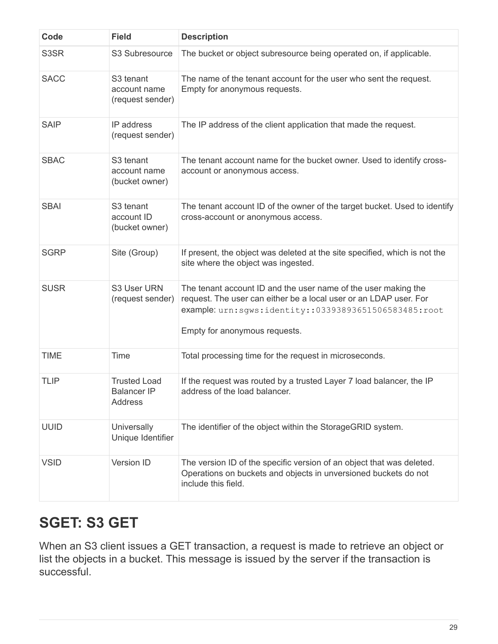| Code        | <b>Field</b>                                              | <b>Description</b>                                                                                                                                                                                                            |
|-------------|-----------------------------------------------------------|-------------------------------------------------------------------------------------------------------------------------------------------------------------------------------------------------------------------------------|
| S3SR        | S3 Subresource                                            | The bucket or object subresource being operated on, if applicable.                                                                                                                                                            |
| <b>SACC</b> | S <sub>3</sub> tenant<br>account name<br>(request sender) | The name of the tenant account for the user who sent the request.<br>Empty for anonymous requests.                                                                                                                            |
| <b>SAIP</b> | IP address<br>(request sender)                            | The IP address of the client application that made the request.                                                                                                                                                               |
| <b>SBAC</b> | S <sub>3</sub> tenant<br>account name<br>(bucket owner)   | The tenant account name for the bucket owner. Used to identify cross-<br>account or anonymous access.                                                                                                                         |
| <b>SBAI</b> | S3 tenant<br>account ID<br>(bucket owner)                 | The tenant account ID of the owner of the target bucket. Used to identify<br>cross-account or anonymous access.                                                                                                               |
| <b>SGRP</b> | Site (Group)                                              | If present, the object was deleted at the site specified, which is not the<br>site where the object was ingested.                                                                                                             |
| <b>SUSR</b> | S3 User URN<br>(request sender)                           | The tenant account ID and the user name of the user making the<br>request. The user can either be a local user or an LDAP user. For<br>example: urn:sgws:identity::03393893651506583485:root<br>Empty for anonymous requests. |
| <b>TIME</b> | Time                                                      | Total processing time for the request in microseconds.                                                                                                                                                                        |
| <b>TLIP</b> | <b>Trusted Load</b><br><b>Balancer IP</b><br>Address      | If the request was routed by a trusted Layer 7 load balancer, the IP<br>address of the load balancer.                                                                                                                         |
| <b>UUID</b> | Universally<br>Unique Identifier                          | The identifier of the object within the StorageGRID system.                                                                                                                                                                   |
| <b>VSID</b> | Version ID                                                | The version ID of the specific version of an object that was deleted.<br>Operations on buckets and objects in unversioned buckets do not<br>include this field.                                                               |

# <span id="page-31-0"></span>**SGET: S3 GET**

When an S3 client issues a GET transaction, a request is made to retrieve an object or list the objects in a bucket. This message is issued by the server if the transaction is successful.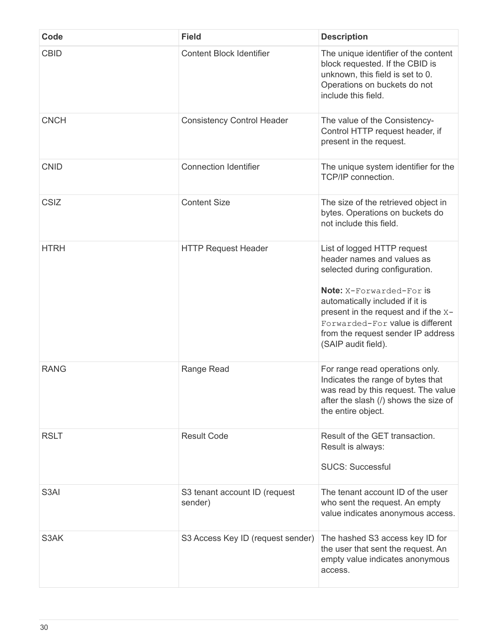| Code              | <b>Field</b>                             | <b>Description</b>                                                                                                                                                                                                                                                                                         |
|-------------------|------------------------------------------|------------------------------------------------------------------------------------------------------------------------------------------------------------------------------------------------------------------------------------------------------------------------------------------------------------|
| <b>CBID</b>       | <b>Content Block Identifier</b>          | The unique identifier of the content<br>block requested. If the CBID is<br>unknown, this field is set to 0.<br>Operations on buckets do not<br>include this field.                                                                                                                                         |
| <b>CNCH</b>       | <b>Consistency Control Header</b>        | The value of the Consistency-<br>Control HTTP request header, if<br>present in the request.                                                                                                                                                                                                                |
| <b>CNID</b>       | <b>Connection Identifier</b>             | The unique system identifier for the<br>TCP/IP connection.                                                                                                                                                                                                                                                 |
| <b>CSIZ</b>       | <b>Content Size</b>                      | The size of the retrieved object in<br>bytes. Operations on buckets do<br>not include this field.                                                                                                                                                                                                          |
| <b>HTRH</b>       | <b>HTTP Request Header</b>               | List of logged HTTP request<br>header names and values as<br>selected during configuration.<br><b>Note:</b> X-Forwarded-For is<br>automatically included if it is<br>present in the request and if the X-<br>Forwarded-For value is different<br>from the request sender IP address<br>(SAIP audit field). |
| <b>RANG</b>       | Range Read                               | For range read operations only.<br>Indicates the range of bytes that<br>was read by this request. The value<br>after the slash (/) shows the size of<br>the entire object.                                                                                                                                 |
| <b>RSLT</b>       | <b>Result Code</b>                       | Result of the GET transaction.<br>Result is always:<br><b>SUCS: Successful</b>                                                                                                                                                                                                                             |
| S <sub>3</sub> AI | S3 tenant account ID (request<br>sender) | The tenant account ID of the user<br>who sent the request. An empty<br>value indicates anonymous access.                                                                                                                                                                                                   |
| S3AK              | S3 Access Key ID (request sender)        | The hashed S3 access key ID for<br>the user that sent the request. An<br>empty value indicates anonymous<br>access.                                                                                                                                                                                        |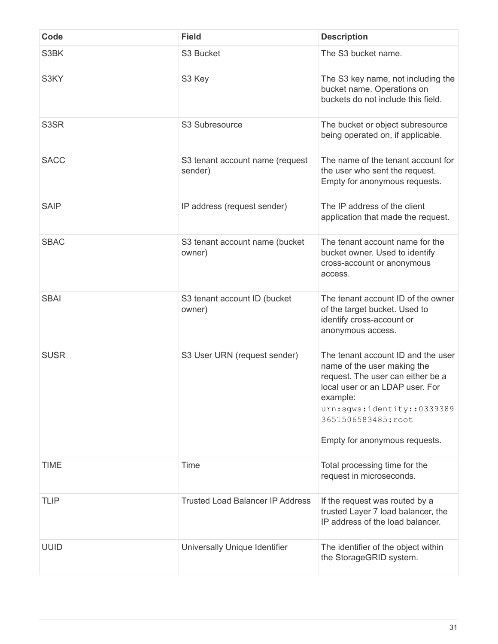| Code        | <b>Field</b>                               | <b>Description</b>                                                                                                                                                                                                                         |
|-------------|--------------------------------------------|--------------------------------------------------------------------------------------------------------------------------------------------------------------------------------------------------------------------------------------------|
| S3BK        | S <sub>3</sub> Bucket                      | The S3 bucket name.                                                                                                                                                                                                                        |
| S3KY        | S3 Key                                     | The S3 key name, not including the<br>bucket name. Operations on<br>buckets do not include this field.                                                                                                                                     |
| S3SR        | S3 Subresource                             | The bucket or object subresource<br>being operated on, if applicable.                                                                                                                                                                      |
| <b>SACC</b> | S3 tenant account name (request<br>sender) | The name of the tenant account for<br>the user who sent the request.<br>Empty for anonymous requests.                                                                                                                                      |
| <b>SAIP</b> | IP address (request sender)                | The IP address of the client<br>application that made the request.                                                                                                                                                                         |
| <b>SBAC</b> | S3 tenant account name (bucket<br>owner)   | The tenant account name for the<br>bucket owner. Used to identify<br>cross-account or anonymous<br>access.                                                                                                                                 |
| <b>SBAI</b> | S3 tenant account ID (bucket<br>owner)     | The tenant account ID of the owner<br>of the target bucket. Used to<br>identify cross-account or<br>anonymous access.                                                                                                                      |
| <b>SUSR</b> | S3 User URN (request sender)               | The tenant account ID and the user<br>name of the user making the<br>request. The user can either be a<br>local user or an LDAP user. For<br>example:<br>urn:sqws:identity::0339389<br>3651506583485:root<br>Empty for anonymous requests. |
| <b>TIME</b> | Time                                       | Total processing time for the<br>request in microseconds.                                                                                                                                                                                  |
| <b>TLIP</b> | <b>Trusted Load Balancer IP Address</b>    | If the request was routed by a<br>trusted Layer 7 load balancer, the<br>IP address of the load balancer.                                                                                                                                   |
| <b>UUID</b> | Universally Unique Identifier              | The identifier of the object within<br>the StorageGRID system.                                                                                                                                                                             |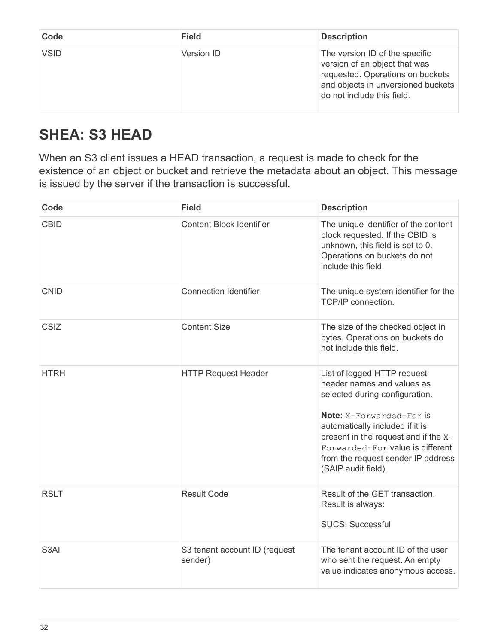| Code        | <b>Field</b> | <b>Description</b>                                                                                                                                                      |
|-------------|--------------|-------------------------------------------------------------------------------------------------------------------------------------------------------------------------|
| <b>VSID</b> | Version ID   | The version ID of the specific<br>version of an object that was<br>requested. Operations on buckets<br>and objects in unversioned buckets<br>do not include this field. |

# <span id="page-34-0"></span>**SHEA: S3 HEAD**

When an S3 client issues a HEAD transaction, a request is made to check for the existence of an object or bucket and retrieve the metadata about an object. This message is issued by the server if the transaction is successful.

| Code              | <b>Field</b>                             | <b>Description</b>                                                                                                                                                                                                                                                                                  |
|-------------------|------------------------------------------|-----------------------------------------------------------------------------------------------------------------------------------------------------------------------------------------------------------------------------------------------------------------------------------------------------|
| <b>CBID</b>       | <b>Content Block Identifier</b>          | The unique identifier of the content<br>block requested. If the CBID is<br>unknown, this field is set to 0.<br>Operations on buckets do not<br>include this field.                                                                                                                                  |
| <b>CNID</b>       | <b>Connection Identifier</b>             | The unique system identifier for the<br>TCP/IP connection.                                                                                                                                                                                                                                          |
| <b>CSIZ</b>       | <b>Content Size</b>                      | The size of the checked object in<br>bytes. Operations on buckets do<br>not include this field.                                                                                                                                                                                                     |
| <b>HTRH</b>       | <b>HTTP Request Header</b>               | List of logged HTTP request<br>header names and values as<br>selected during configuration.<br>Note: X-Forwarded-For is<br>automatically included if it is<br>present in the request and if the X-<br>Forwarded-For value is different<br>from the request sender IP address<br>(SAIP audit field). |
| <b>RSLT</b>       | <b>Result Code</b>                       | Result of the GET transaction.<br>Result is always:<br><b>SUCS: Successful</b>                                                                                                                                                                                                                      |
| S <sub>3</sub> AI | S3 tenant account ID (request<br>sender) | The tenant account ID of the user<br>who sent the request. An empty<br>value indicates anonymous access.                                                                                                                                                                                            |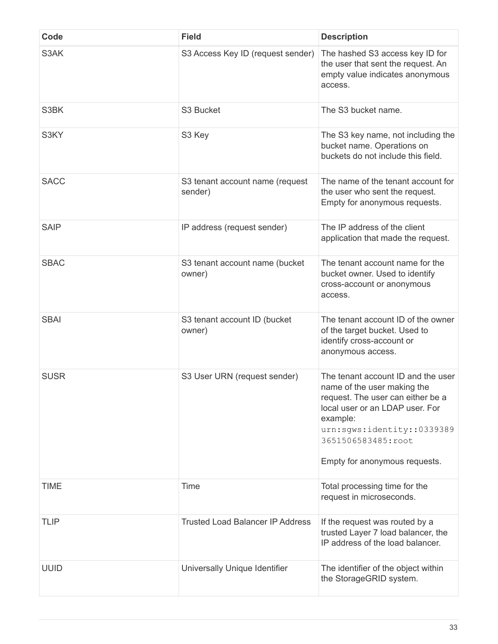| Code        | <b>Field</b>                               | <b>Description</b>                                                                                                                                                                                                                         |
|-------------|--------------------------------------------|--------------------------------------------------------------------------------------------------------------------------------------------------------------------------------------------------------------------------------------------|
| S3AK        | S3 Access Key ID (request sender)          | The hashed S3 access key ID for<br>the user that sent the request. An<br>empty value indicates anonymous<br>access.                                                                                                                        |
| S3BK        | S3 Bucket                                  | The S3 bucket name.                                                                                                                                                                                                                        |
| S3KY        | S3 Key                                     | The S3 key name, not including the<br>bucket name. Operations on<br>buckets do not include this field.                                                                                                                                     |
| <b>SACC</b> | S3 tenant account name (request<br>sender) | The name of the tenant account for<br>the user who sent the request.<br>Empty for anonymous requests.                                                                                                                                      |
| <b>SAIP</b> | IP address (request sender)                | The IP address of the client<br>application that made the request.                                                                                                                                                                         |
| <b>SBAC</b> | S3 tenant account name (bucket<br>owner)   | The tenant account name for the<br>bucket owner. Used to identify<br>cross-account or anonymous<br>access.                                                                                                                                 |
| <b>SBAI</b> | S3 tenant account ID (bucket<br>owner)     | The tenant account ID of the owner<br>of the target bucket. Used to<br>identify cross-account or<br>anonymous access.                                                                                                                      |
| <b>SUSR</b> | S3 User URN (request sender)               | The tenant account ID and the user<br>name of the user making the<br>request. The user can either be a<br>local user or an LDAP user. For<br>example:<br>urn:sgws:identity::0339389<br>3651506583485:root<br>Empty for anonymous requests. |
| <b>TIME</b> | Time                                       | Total processing time for the<br>request in microseconds.                                                                                                                                                                                  |
| <b>TLIP</b> | <b>Trusted Load Balancer IP Address</b>    | If the request was routed by a<br>trusted Layer 7 load balancer, the<br>IP address of the load balancer.                                                                                                                                   |
| <b>UUID</b> | Universally Unique Identifier              | The identifier of the object within<br>the StorageGRID system.                                                                                                                                                                             |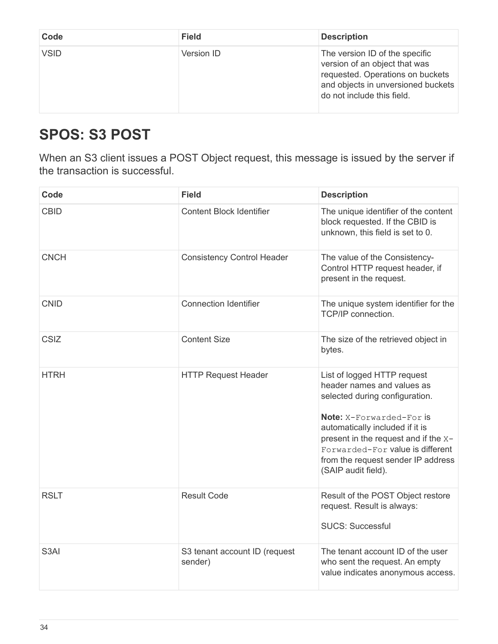| Code        | <b>Field</b> | <b>Description</b>                                                                                                                                                      |
|-------------|--------------|-------------------------------------------------------------------------------------------------------------------------------------------------------------------------|
| <b>VSID</b> | Version ID   | The version ID of the specific<br>version of an object that was<br>requested. Operations on buckets<br>and objects in unversioned buckets<br>do not include this field. |

### <span id="page-36-0"></span>**SPOS: S3 POST**

When an S3 client issues a POST Object request, this message is issued by the server if the transaction is successful.

| Code              | <b>Field</b>                             | <b>Description</b>                                                                                                                                                                                                                                                                                  |
|-------------------|------------------------------------------|-----------------------------------------------------------------------------------------------------------------------------------------------------------------------------------------------------------------------------------------------------------------------------------------------------|
| <b>CBID</b>       | <b>Content Block Identifier</b>          | The unique identifier of the content<br>block requested. If the CBID is<br>unknown, this field is set to 0.                                                                                                                                                                                         |
| <b>CNCH</b>       | <b>Consistency Control Header</b>        | The value of the Consistency-<br>Control HTTP request header, if<br>present in the request.                                                                                                                                                                                                         |
| <b>CNID</b>       | <b>Connection Identifier</b>             | The unique system identifier for the<br>TCP/IP connection.                                                                                                                                                                                                                                          |
| CSIZ              | <b>Content Size</b>                      | The size of the retrieved object in<br>bytes.                                                                                                                                                                                                                                                       |
| <b>HTRH</b>       | <b>HTTP Request Header</b>               | List of logged HTTP request<br>header names and values as<br>selected during configuration.<br>Note: X-Forwarded-For is<br>automatically included if it is<br>present in the request and if the x-<br>Forwarded-For value is different<br>from the request sender IP address<br>(SAIP audit field). |
| <b>RSLT</b>       | <b>Result Code</b>                       | Result of the POST Object restore<br>request. Result is always:<br><b>SUCS: Successful</b>                                                                                                                                                                                                          |
| S <sub>3</sub> AI | S3 tenant account ID (request<br>sender) | The tenant account ID of the user<br>who sent the request. An empty<br>value indicates anonymous access.                                                                                                                                                                                            |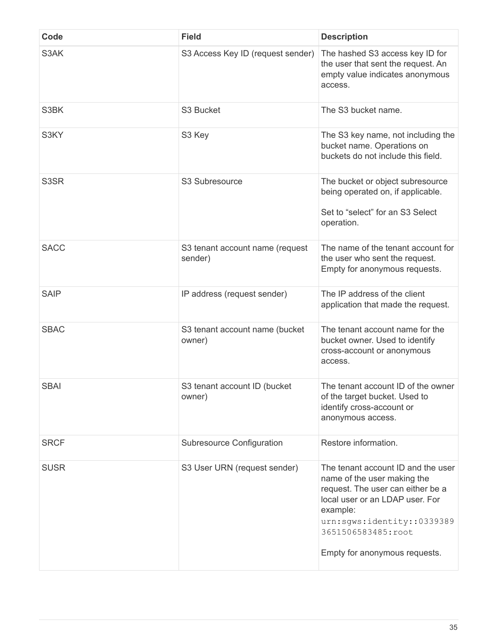| Code        | <b>Field</b>                               | <b>Description</b>                                                                                                                                                                                                                         |
|-------------|--------------------------------------------|--------------------------------------------------------------------------------------------------------------------------------------------------------------------------------------------------------------------------------------------|
| S3AK        | S3 Access Key ID (request sender)          | The hashed S3 access key ID for<br>the user that sent the request. An<br>empty value indicates anonymous<br>access.                                                                                                                        |
| S3BK        | S3 Bucket                                  | The S3 bucket name.                                                                                                                                                                                                                        |
| S3KY        | S3 Key                                     | The S3 key name, not including the<br>bucket name. Operations on<br>buckets do not include this field.                                                                                                                                     |
| S3SR        | S3 Subresource                             | The bucket or object subresource<br>being operated on, if applicable.<br>Set to "select" for an S3 Select<br>operation.                                                                                                                    |
| <b>SACC</b> | S3 tenant account name (request<br>sender) | The name of the tenant account for<br>the user who sent the request.<br>Empty for anonymous requests.                                                                                                                                      |
| <b>SAIP</b> | IP address (request sender)                | The IP address of the client<br>application that made the request.                                                                                                                                                                         |
| <b>SBAC</b> | S3 tenant account name (bucket<br>owner)   | The tenant account name for the<br>bucket owner. Used to identify<br>cross-account or anonymous<br>access.                                                                                                                                 |
| <b>SBAI</b> | S3 tenant account ID (bucket<br>owner)     | The tenant account ID of the owner<br>of the target bucket. Used to<br>identify cross-account or<br>anonymous access.                                                                                                                      |
| <b>SRCF</b> | Subresource Configuration                  | Restore information.                                                                                                                                                                                                                       |
| <b>SUSR</b> | S3 User URN (request sender)               | The tenant account ID and the user<br>name of the user making the<br>request. The user can either be a<br>local user or an LDAP user. For<br>example:<br>urn:sgws:identity::0339389<br>3651506583485:root<br>Empty for anonymous requests. |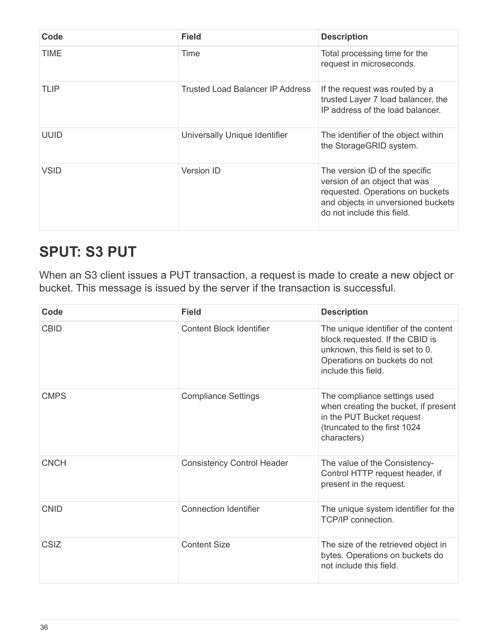| Code        | <b>Field</b>                     | <b>Description</b>                                                                                                                                                      |
|-------------|----------------------------------|-------------------------------------------------------------------------------------------------------------------------------------------------------------------------|
| TIME        | Time                             | Total processing time for the<br>request in microseconds.                                                                                                               |
| <b>TLIP</b> | Trusted Load Balancer IP Address | If the request was routed by a<br>trusted Layer 7 load balancer, the<br>IP address of the load balancer.                                                                |
| <b>UUID</b> | Universally Unique Identifier    | The identifier of the object within<br>the StorageGRID system.                                                                                                          |
| <b>VSID</b> | <b>Version ID</b>                | The version ID of the specific<br>version of an object that was<br>requested. Operations on buckets<br>and objects in unversioned buckets<br>do not include this field. |

#### <span id="page-38-0"></span>**SPUT: S3 PUT**

When an S3 client issues a PUT transaction, a request is made to create a new object or bucket. This message is issued by the server if the transaction is successful.

| Code        | <b>Field</b>                      | <b>Description</b>                                                                                                                                                 |
|-------------|-----------------------------------|--------------------------------------------------------------------------------------------------------------------------------------------------------------------|
| <b>CBID</b> | <b>Content Block Identifier</b>   | The unique identifier of the content<br>block requested. If the CBID is<br>unknown, this field is set to 0.<br>Operations on buckets do not<br>include this field. |
| <b>CMPS</b> | <b>Compliance Settings</b>        | The compliance settings used<br>when creating the bucket, if present<br>in the PUT Bucket request<br>(truncated to the first 1024<br>characters)                   |
| <b>CNCH</b> | <b>Consistency Control Header</b> | The value of the Consistency-<br>Control HTTP request header, if<br>present in the request.                                                                        |
| <b>CNID</b> | <b>Connection Identifier</b>      | The unique system identifier for the<br>TCP/IP connection.                                                                                                         |
| <b>CSIZ</b> | <b>Content Size</b>               | The size of the retrieved object in<br>bytes. Operations on buckets do<br>not include this field.                                                                  |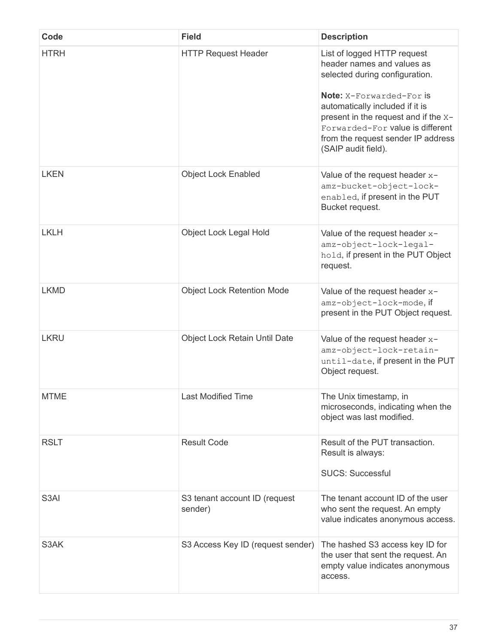| Code        | <b>Field</b>                             | <b>Description</b>                                                                                                                                                                                                                                                                                         |
|-------------|------------------------------------------|------------------------------------------------------------------------------------------------------------------------------------------------------------------------------------------------------------------------------------------------------------------------------------------------------------|
| <b>HTRH</b> | <b>HTTP Request Header</b>               | List of logged HTTP request<br>header names and values as<br>selected during configuration.<br><b>Note:</b> X-Forwarded-For is<br>automatically included if it is<br>present in the request and if the x-<br>Forwarded-For value is different<br>from the request sender IP address<br>(SAIP audit field). |
| <b>LKEN</b> | <b>Object Lock Enabled</b>               | Value of the request header $x-$<br>amz-bucket-object-lock-<br>enabled, if present in the PUT<br>Bucket request.                                                                                                                                                                                           |
| <b>LKLH</b> | Object Lock Legal Hold                   | Value of the request header x-<br>amz-object-lock-legal-<br>hold, if present in the PUT Object<br>request.                                                                                                                                                                                                 |
| <b>LKMD</b> | <b>Object Lock Retention Mode</b>        | Value of the request header $x-$<br>amz-object-lock-mode, if<br>present in the PUT Object request.                                                                                                                                                                                                         |
| <b>LKRU</b> | Object Lock Retain Until Date            | Value of the request header $x-$<br>amz-object-lock-retain-<br>until-date, if present in the PUT<br>Object request.                                                                                                                                                                                        |
| <b>MTME</b> | <b>Last Modified Time</b>                | The Unix timestamp, in<br>microseconds, indicating when the<br>object was last modified.                                                                                                                                                                                                                   |
| <b>RSLT</b> | <b>Result Code</b>                       | Result of the PUT transaction.<br>Result is always:<br><b>SUCS: Successful</b>                                                                                                                                                                                                                             |
| S3AI        | S3 tenant account ID (request<br>sender) | The tenant account ID of the user<br>who sent the request. An empty<br>value indicates anonymous access.                                                                                                                                                                                                   |
| S3AK        | S3 Access Key ID (request sender)        | The hashed S3 access key ID for<br>the user that sent the request. An<br>empty value indicates anonymous<br>access.                                                                                                                                                                                        |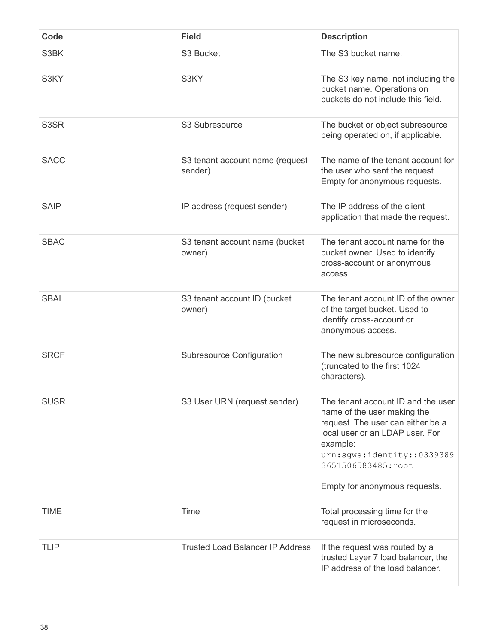| Code        | <b>Field</b>                               | <b>Description</b>                                                                                                                                                                                                                         |
|-------------|--------------------------------------------|--------------------------------------------------------------------------------------------------------------------------------------------------------------------------------------------------------------------------------------------|
| S3BK        | S3 Bucket                                  | The S3 bucket name.                                                                                                                                                                                                                        |
| S3KY        | S3KY                                       | The S3 key name, not including the<br>bucket name. Operations on<br>buckets do not include this field.                                                                                                                                     |
| S3SR        | S3 Subresource                             | The bucket or object subresource<br>being operated on, if applicable.                                                                                                                                                                      |
| <b>SACC</b> | S3 tenant account name (request<br>sender) | The name of the tenant account for<br>the user who sent the request.<br>Empty for anonymous requests.                                                                                                                                      |
| <b>SAIP</b> | IP address (request sender)                | The IP address of the client<br>application that made the request.                                                                                                                                                                         |
| <b>SBAC</b> | S3 tenant account name (bucket<br>owner)   | The tenant account name for the<br>bucket owner. Used to identify<br>cross-account or anonymous<br>access.                                                                                                                                 |
| <b>SBAI</b> | S3 tenant account ID (bucket<br>owner)     | The tenant account ID of the owner<br>of the target bucket. Used to<br>identify cross-account or<br>anonymous access.                                                                                                                      |
| <b>SRCF</b> | <b>Subresource Configuration</b>           | The new subresource configuration<br>(truncated to the first 1024<br>characters).                                                                                                                                                          |
| <b>SUSR</b> | S3 User URN (request sender)               | The tenant account ID and the user<br>name of the user making the<br>request. The user can either be a<br>local user or an LDAP user. For<br>example:<br>urn:sgws:identity::0339389<br>3651506583485:root<br>Empty for anonymous requests. |
| <b>TIME</b> | Time                                       | Total processing time for the<br>request in microseconds.                                                                                                                                                                                  |
| <b>TLIP</b> | <b>Trusted Load Balancer IP Address</b>    | If the request was routed by a<br>trusted Layer 7 load balancer, the<br>IP address of the load balancer.                                                                                                                                   |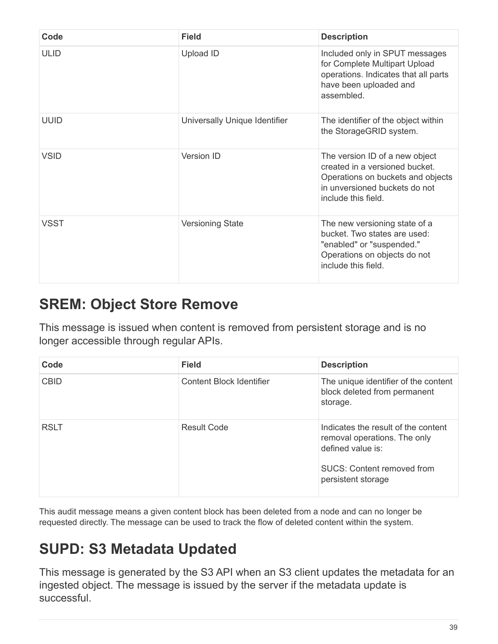| Code        | <b>Field</b>                  | <b>Description</b>                                                                                                                                            |
|-------------|-------------------------------|---------------------------------------------------------------------------------------------------------------------------------------------------------------|
| <b>ULID</b> | <b>Upload ID</b>              | Included only in SPUT messages<br>for Complete Multipart Upload<br>operations. Indicates that all parts<br>have been uploaded and<br>assembled.               |
| <b>UUID</b> | Universally Unique Identifier | The identifier of the object within<br>the StorageGRID system.                                                                                                |
| <b>VSID</b> | Version ID                    | The version ID of a new object<br>created in a versioned bucket.<br>Operations on buckets and objects<br>in unversioned buckets do not<br>include this field. |
| <b>VSST</b> | <b>Versioning State</b>       | The new versioning state of a<br>bucket. Two states are used:<br>"enabled" or "suspended."<br>Operations on objects do not<br>include this field              |

#### <span id="page-41-0"></span>**SREM: Object Store Remove**

This message is issued when content is removed from persistent storage and is no longer accessible through regular APIs.

| Code        | <b>Field</b>             | <b>Description</b>                                                                                                                                  |
|-------------|--------------------------|-----------------------------------------------------------------------------------------------------------------------------------------------------|
| <b>CBID</b> | Content Block Identifier | The unique identifier of the content<br>block deleted from permanent<br>storage.                                                                    |
| <b>RSLT</b> | Result Code              | Indicates the result of the content<br>removal operations. The only<br>defined value is:<br><b>SUCS: Content removed from</b><br>persistent storage |

This audit message means a given content block has been deleted from a node and can no longer be requested directly. The message can be used to track the flow of deleted content within the system.

## <span id="page-41-1"></span>**SUPD: S3 Metadata Updated**

This message is generated by the S3 API when an S3 client updates the metadata for an ingested object. The message is issued by the server if the metadata update is successful.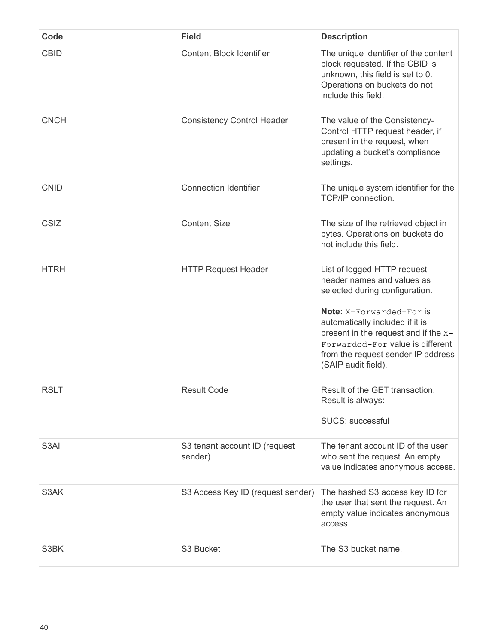| Code              | <b>Field</b>                             | <b>Description</b>                                                                                                                                                                                                                                                                                  |
|-------------------|------------------------------------------|-----------------------------------------------------------------------------------------------------------------------------------------------------------------------------------------------------------------------------------------------------------------------------------------------------|
| <b>CBID</b>       | <b>Content Block Identifier</b>          | The unique identifier of the content<br>block requested. If the CBID is<br>unknown, this field is set to 0.<br>Operations on buckets do not<br>include this field.                                                                                                                                  |
| <b>CNCH</b>       | <b>Consistency Control Header</b>        | The value of the Consistency-<br>Control HTTP request header, if<br>present in the request, when<br>updating a bucket's compliance<br>settings.                                                                                                                                                     |
| <b>CNID</b>       | <b>Connection Identifier</b>             | The unique system identifier for the<br>TCP/IP connection.                                                                                                                                                                                                                                          |
| CSIZ              | <b>Content Size</b>                      | The size of the retrieved object in<br>bytes. Operations on buckets do<br>not include this field.                                                                                                                                                                                                   |
| <b>HTRH</b>       | <b>HTTP Request Header</b>               | List of logged HTTP request<br>header names and values as<br>selected during configuration.<br>Note: X-Forwarded-For is<br>automatically included if it is<br>present in the request and if the X-<br>Forwarded-For value is different<br>from the request sender IP address<br>(SAIP audit field). |
| <b>RSLT</b>       | <b>Result Code</b>                       | Result of the GET transaction.<br>Result is always:<br><b>SUCS: successful</b>                                                                                                                                                                                                                      |
| S <sub>3</sub> AI | S3 tenant account ID (request<br>sender) | The tenant account ID of the user<br>who sent the request. An empty<br>value indicates anonymous access.                                                                                                                                                                                            |
| S3AK              | S3 Access Key ID (request sender)        | The hashed S3 access key ID for<br>the user that sent the request. An<br>empty value indicates anonymous<br>access.                                                                                                                                                                                 |
| S3BK              | S3 Bucket                                | The S3 bucket name.                                                                                                                                                                                                                                                                                 |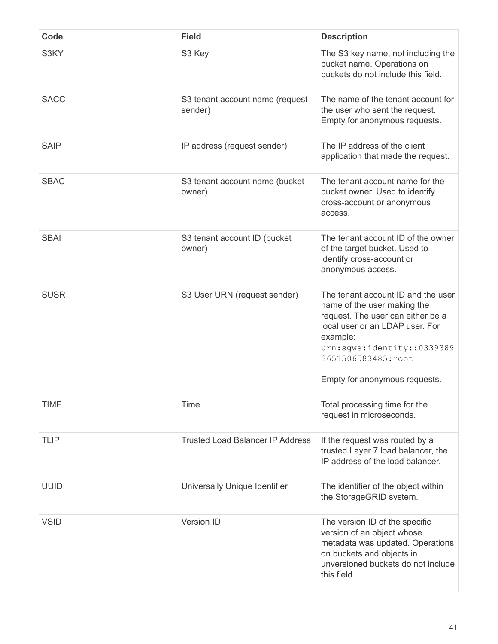| Code        | <b>Field</b>                               | <b>Description</b>                                                                                                                                                                                                                         |
|-------------|--------------------------------------------|--------------------------------------------------------------------------------------------------------------------------------------------------------------------------------------------------------------------------------------------|
| S3KY        | S3 Key                                     | The S3 key name, not including the<br>bucket name. Operations on<br>buckets do not include this field.                                                                                                                                     |
| <b>SACC</b> | S3 tenant account name (request<br>sender) | The name of the tenant account for<br>the user who sent the request.<br>Empty for anonymous requests.                                                                                                                                      |
| <b>SAIP</b> | IP address (request sender)                | The IP address of the client<br>application that made the request.                                                                                                                                                                         |
| <b>SBAC</b> | S3 tenant account name (bucket<br>owner)   | The tenant account name for the<br>bucket owner. Used to identify<br>cross-account or anonymous<br>access.                                                                                                                                 |
| <b>SBAI</b> | S3 tenant account ID (bucket<br>owner)     | The tenant account ID of the owner<br>of the target bucket. Used to<br>identify cross-account or<br>anonymous access.                                                                                                                      |
| <b>SUSR</b> | S3 User URN (request sender)               | The tenant account ID and the user<br>name of the user making the<br>request. The user can either be a<br>local user or an LDAP user. For<br>example:<br>urn:sgws:identity::0339389<br>3651506583485:root<br>Empty for anonymous requests. |
| <b>TIME</b> | Time                                       | Total processing time for the<br>request in microseconds.                                                                                                                                                                                  |
| <b>TLIP</b> | <b>Trusted Load Balancer IP Address</b>    | If the request was routed by a<br>trusted Layer 7 load balancer, the<br>IP address of the load balancer.                                                                                                                                   |
| <b>UUID</b> | Universally Unique Identifier              | The identifier of the object within<br>the StorageGRID system.                                                                                                                                                                             |
| <b>VSID</b> | <b>Version ID</b>                          | The version ID of the specific<br>version of an object whose<br>metadata was updated. Operations<br>on buckets and objects in<br>unversioned buckets do not include<br>this field.                                                         |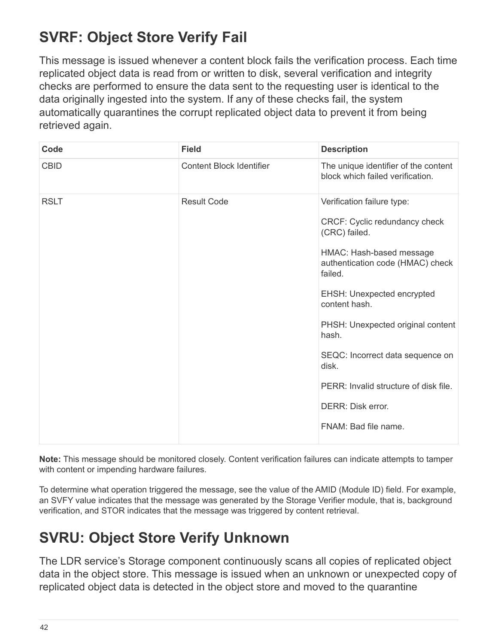# <span id="page-44-0"></span>**SVRF: Object Store Verify Fail**

This message is issued whenever a content block fails the verification process. Each time replicated object data is read from or written to disk, several verification and integrity checks are performed to ensure the data sent to the requesting user is identical to the data originally ingested into the system. If any of these checks fail, the system automatically quarantines the corrupt replicated object data to prevent it from being retrieved again.

| Code        | <b>Field</b>                    | <b>Description</b>                                                                                                                                                                                                                                                                                                                                                                             |
|-------------|---------------------------------|------------------------------------------------------------------------------------------------------------------------------------------------------------------------------------------------------------------------------------------------------------------------------------------------------------------------------------------------------------------------------------------------|
| <b>CBID</b> | <b>Content Block Identifier</b> | The unique identifier of the content<br>block which failed verification.                                                                                                                                                                                                                                                                                                                       |
| <b>RSLT</b> | <b>Result Code</b>              | Verification failure type:<br>CRCF: Cyclic redundancy check<br>(CRC) failed.<br>HMAC: Hash-based message<br>authentication code (HMAC) check<br>failed.<br>EHSH: Unexpected encrypted<br>content hash.<br>PHSH: Unexpected original content<br>hash.<br>SEQC: Incorrect data sequence on<br>disk.<br>PERR: Invalid structure of disk file.<br><b>DERR: Disk error.</b><br>FNAM: Bad file name. |

**Note:** This message should be monitored closely. Content verification failures can indicate attempts to tamper with content or impending hardware failures.

To determine what operation triggered the message, see the value of the AMID (Module ID) field. For example, an SVFY value indicates that the message was generated by the Storage Verifier module, that is, background verification, and STOR indicates that the message was triggered by content retrieval.

## <span id="page-44-1"></span>**SVRU: Object Store Verify Unknown**

The LDR service's Storage component continuously scans all copies of replicated object data in the object store. This message is issued when an unknown or unexpected copy of replicated object data is detected in the object store and moved to the quarantine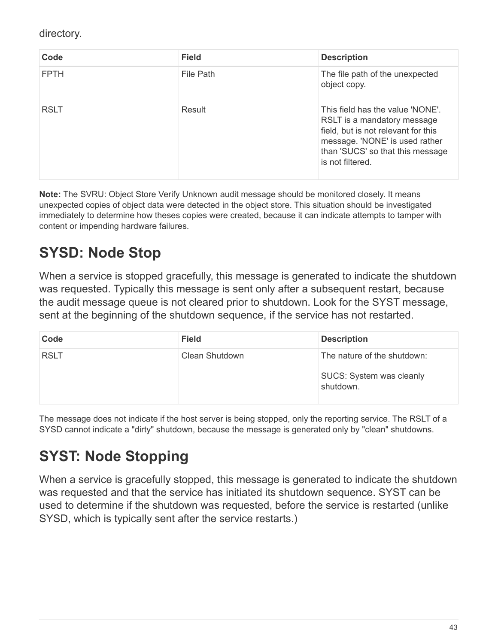directory.

| Code        | <b>Field</b> | <b>Description</b>                                                                                                                                                                               |
|-------------|--------------|--------------------------------------------------------------------------------------------------------------------------------------------------------------------------------------------------|
| <b>FPTH</b> | File Path    | The file path of the unexpected<br>object copy.                                                                                                                                                  |
| <b>RSLT</b> | Result       | This field has the value 'NONE'.<br>RSLT is a mandatory message<br>field, but is not relevant for this<br>message. 'NONE' is used rather<br>than 'SUCS' so that this message<br>is not filtered. |

**Note:** The SVRU: Object Store Verify Unknown audit message should be monitored closely. It means unexpected copies of object data were detected in the object store. This situation should be investigated immediately to determine how theses copies were created, because it can indicate attempts to tamper with content or impending hardware failures.

# <span id="page-45-0"></span>**SYSD: Node Stop**

When a service is stopped gracefully, this message is generated to indicate the shutdown was requested. Typically this message is sent only after a subsequent restart, because the audit message queue is not cleared prior to shutdown. Look for the SYST message, sent at the beginning of the shutdown sequence, if the service has not restarted.

| Code        | <b>Field</b>   | <b>Description</b>                                                   |
|-------------|----------------|----------------------------------------------------------------------|
| <b>RSLT</b> | Clean Shutdown | The nature of the shutdown:<br>SUCS: System was cleanly<br>shutdown. |

The message does not indicate if the host server is being stopped, only the reporting service. The RSLT of a SYSD cannot indicate a "dirty" shutdown, because the message is generated only by "clean" shutdowns.

# <span id="page-45-1"></span>**SYST: Node Stopping**

When a service is gracefully stopped, this message is generated to indicate the shutdown was requested and that the service has initiated its shutdown sequence. SYST can be used to determine if the shutdown was requested, before the service is restarted (unlike SYSD, which is typically sent after the service restarts.)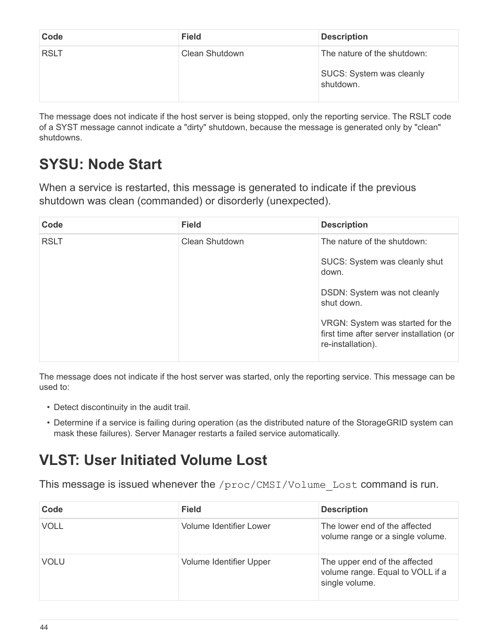| Code        | <b>Field</b>   | <b>Description</b>                                                          |
|-------------|----------------|-----------------------------------------------------------------------------|
| <b>RSLT</b> | Clean Shutdown | The nature of the shutdown:<br><b>SUCS: System was cleanly</b><br>shutdown. |

The message does not indicate if the host server is being stopped, only the reporting service. The RSLT code of a SYST message cannot indicate a "dirty" shutdown, because the message is generated only by "clean" shutdowns.

# <span id="page-46-0"></span>**SYSU: Node Start**

When a service is restarted, this message is generated to indicate if the previous shutdown was clean (commanded) or disorderly (unexpected).

| Code        | <b>Field</b>          | <b>Description</b>                                                                                |
|-------------|-----------------------|---------------------------------------------------------------------------------------------------|
| <b>RSLT</b> | <b>Clean Shutdown</b> | The nature of the shutdown:                                                                       |
|             |                       | SUCS: System was cleanly shut<br>down.                                                            |
|             |                       | DSDN: System was not cleanly<br>shut down.                                                        |
|             |                       | VRGN: System was started for the<br>first time after server installation (or<br>re-installation). |

The message does not indicate if the host server was started, only the reporting service. This message can be used to:

- Detect discontinuity in the audit trail.
- Determine if a service is failing during operation (as the distributed nature of the StorageGRID system can mask these failures). Server Manager restarts a failed service automatically.

# <span id="page-46-1"></span>**VLST: User Initiated Volume Lost**

This message is issued whenever the /proc/CMSI/Volume Lost command is run.

| Code        | <b>Field</b>            | <b>Description</b>                                                                  |
|-------------|-------------------------|-------------------------------------------------------------------------------------|
| <b>VOLL</b> | Volume Identifier Lower | The lower end of the affected<br>volume range or a single volume.                   |
| <b>VOLU</b> | Volume Identifier Upper | The upper end of the affected<br>volume range. Equal to VOLL if a<br>single volume. |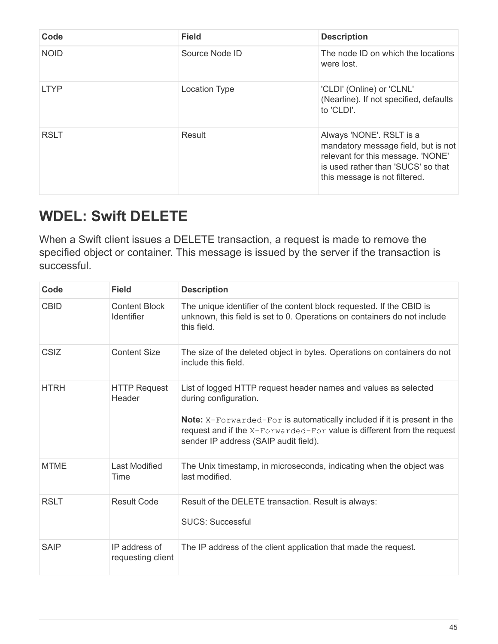| Code        | <b>Field</b>         | <b>Description</b>                                                                                                                                                          |
|-------------|----------------------|-----------------------------------------------------------------------------------------------------------------------------------------------------------------------------|
| <b>NOID</b> | Source Node ID       | The node ID on which the locations<br>were lost.                                                                                                                            |
| <b>LTYP</b> | <b>Location Type</b> | 'CLDI' (Online) or 'CLNL'<br>(Nearline). If not specified, defaults<br>to 'CLDI'.                                                                                           |
| <b>RSLT</b> | Result               | Always 'NONE'. RSLT is a<br>mandatory message field, but is not<br>relevant for this message. 'NONE'<br>is used rather than 'SUCS' so that<br>this message is not filtered. |

# <span id="page-47-0"></span>**WDEL: Swift DELETE**

When a Swift client issues a DELETE transaction, a request is made to remove the specified object or container. This message is issued by the server if the transaction is successful.

| Code        | <b>Field</b>                              | <b>Description</b>                                                                                                                                                                                                                                                                            |
|-------------|-------------------------------------------|-----------------------------------------------------------------------------------------------------------------------------------------------------------------------------------------------------------------------------------------------------------------------------------------------|
| <b>CBID</b> | <b>Content Block</b><br><b>Identifier</b> | The unique identifier of the content block requested. If the CBID is<br>unknown, this field is set to 0. Operations on containers do not include<br>this field.                                                                                                                               |
| <b>CSIZ</b> | <b>Content Size</b>                       | The size of the deleted object in bytes. Operations on containers do not<br>include this field.                                                                                                                                                                                               |
| <b>HTRH</b> | <b>HTTP Request</b><br>Header             | List of logged HTTP request header names and values as selected<br>during configuration.<br><b>Note:</b> X-Forwarded-For is automatically included if it is present in the<br>request and if the X-Forwarded-For value is different from the request<br>sender IP address (SAIP audit field). |
| <b>MTME</b> | Last Modified<br>Time                     | The Unix timestamp, in microseconds, indicating when the object was<br>last modified.                                                                                                                                                                                                         |
| <b>RSLT</b> | <b>Result Code</b>                        | Result of the DELETE transaction. Result is always:<br><b>SUCS: Successful</b>                                                                                                                                                                                                                |
| <b>SAIP</b> | IP address of<br>requesting client        | The IP address of the client application that made the request.                                                                                                                                                                                                                               |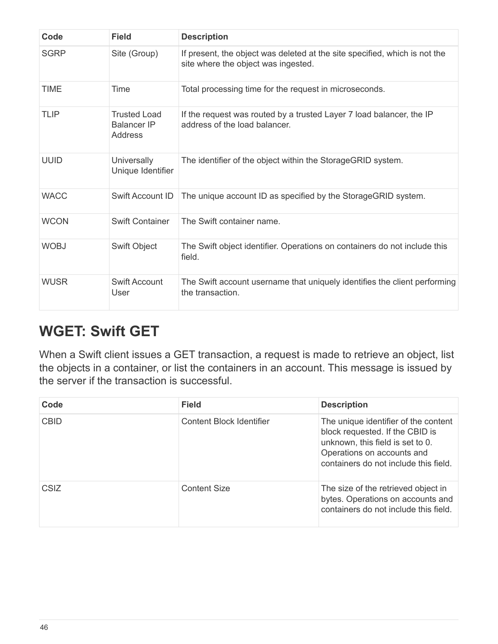| Code        | <b>Field</b>                                         | <b>Description</b>                                                                                                |
|-------------|------------------------------------------------------|-------------------------------------------------------------------------------------------------------------------|
| <b>SGRP</b> | Site (Group)                                         | If present, the object was deleted at the site specified, which is not the<br>site where the object was ingested. |
| <b>TIME</b> | Time                                                 | Total processing time for the request in microseconds.                                                            |
| <b>TLIP</b> | Trusted Load<br><b>Balancer IP</b><br><b>Address</b> | If the request was routed by a trusted Layer 7 load balancer, the IP<br>address of the load balancer.             |
| <b>UUID</b> | Universally<br>Unique Identifier                     | The identifier of the object within the StorageGRID system.                                                       |
| <b>WACC</b> | <b>Swift Account ID</b>                              | The unique account ID as specified by the StorageGRID system.                                                     |
| <b>WCON</b> | <b>Swift Container</b>                               | The Swift container name.                                                                                         |
| <b>WOBJ</b> | Swift Object                                         | The Swift object identifier. Operations on containers do not include this<br>field.                               |
| <b>WUSR</b> | <b>Swift Account</b><br>User                         | The Swift account username that uniquely identifies the client performing<br>the transaction.                     |

#### <span id="page-48-0"></span>**WGET: Swift GET**

When a Swift client issues a GET transaction, a request is made to retrieve an object, list the objects in a container, or list the containers in an account. This message is issued by the server if the transaction is successful.

| Code        | <b>Field</b>             | <b>Description</b>                                                                                                                                                                 |
|-------------|--------------------------|------------------------------------------------------------------------------------------------------------------------------------------------------------------------------------|
| <b>CBID</b> | Content Block Identifier | The unique identifier of the content<br>block requested. If the CBID is<br>unknown, this field is set to 0.<br>Operations on accounts and<br>containers do not include this field. |
| CSIZ        | <b>Content Size</b>      | The size of the retrieved object in<br>bytes. Operations on accounts and<br>containers do not include this field.                                                                  |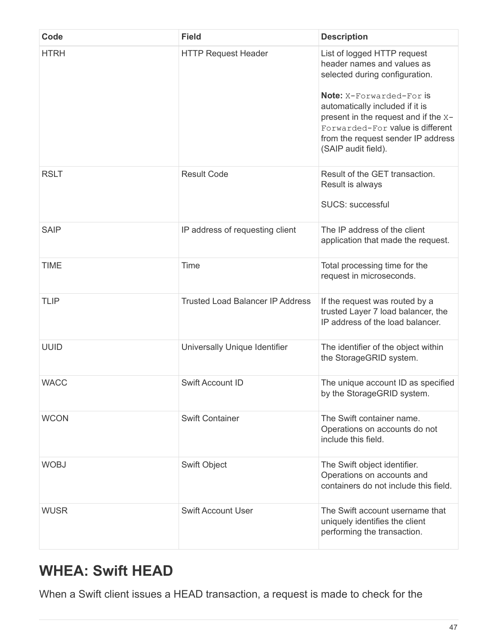| Code        | <b>Field</b>                            | <b>Description</b>                                                                                                                                                                                                                                                                                         |
|-------------|-----------------------------------------|------------------------------------------------------------------------------------------------------------------------------------------------------------------------------------------------------------------------------------------------------------------------------------------------------------|
| <b>HTRH</b> | <b>HTTP Request Header</b>              | List of logged HTTP request<br>header names and values as<br>selected during configuration.<br><b>Note:</b> X-Forwarded-For is<br>automatically included if it is<br>present in the request and if the X-<br>Forwarded-For value is different<br>from the request sender IP address<br>(SAIP audit field). |
| <b>RSLT</b> | <b>Result Code</b>                      | Result of the GET transaction.<br>Result is always<br><b>SUCS: successful</b>                                                                                                                                                                                                                              |
| <b>SAIP</b> | IP address of requesting client         | The IP address of the client<br>application that made the request.                                                                                                                                                                                                                                         |
| <b>TIME</b> | Time                                    | Total processing time for the<br>request in microseconds.                                                                                                                                                                                                                                                  |
| <b>TLIP</b> | <b>Trusted Load Balancer IP Address</b> | If the request was routed by a<br>trusted Layer 7 load balancer, the<br>IP address of the load balancer.                                                                                                                                                                                                   |
| <b>UUID</b> | Universally Unique Identifier           | The identifier of the object within<br>the StorageGRID system.                                                                                                                                                                                                                                             |
| <b>WACC</b> | Swift Account ID                        | The unique account ID as specified<br>by the StorageGRID system.                                                                                                                                                                                                                                           |
| <b>WCON</b> | <b>Swift Container</b>                  | The Swift container name.<br>Operations on accounts do not<br>include this field.                                                                                                                                                                                                                          |
| <b>WOBJ</b> | <b>Swift Object</b>                     | The Swift object identifier.<br>Operations on accounts and<br>containers do not include this field.                                                                                                                                                                                                        |
| <b>WUSR</b> | <b>Swift Account User</b>               | The Swift account username that<br>uniquely identifies the client<br>performing the transaction.                                                                                                                                                                                                           |

#### <span id="page-49-0"></span>**WHEA: Swift HEAD**

When a Swift client issues a HEAD transaction, a request is made to check for the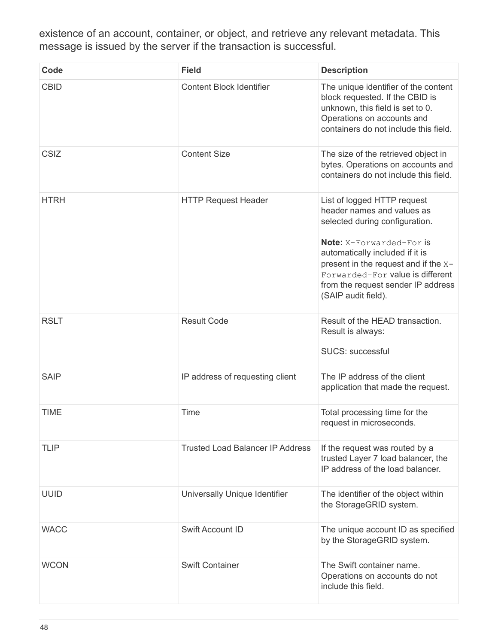existence of an account, container, or object, and retrieve any relevant metadata. This message is issued by the server if the transaction is successful.

| Code        | <b>Field</b>                            | <b>Description</b>                                                                                                                                                                                                                                                                                         |
|-------------|-----------------------------------------|------------------------------------------------------------------------------------------------------------------------------------------------------------------------------------------------------------------------------------------------------------------------------------------------------------|
| <b>CBID</b> | <b>Content Block Identifier</b>         | The unique identifier of the content<br>block requested. If the CBID is<br>unknown, this field is set to 0.<br>Operations on accounts and<br>containers do not include this field.                                                                                                                         |
| <b>CSIZ</b> | <b>Content Size</b>                     | The size of the retrieved object in<br>bytes. Operations on accounts and<br>containers do not include this field.                                                                                                                                                                                          |
| <b>HTRH</b> | <b>HTTP Request Header</b>              | List of logged HTTP request<br>header names and values as<br>selected during configuration.<br><b>Note:</b> X-Forwarded-For is<br>automatically included if it is<br>present in the request and if the X-<br>Forwarded-For value is different<br>from the request sender IP address<br>(SAIP audit field). |
| <b>RSLT</b> | <b>Result Code</b>                      | Result of the HEAD transaction.<br>Result is always:<br><b>SUCS: successful</b>                                                                                                                                                                                                                            |
| <b>SAIP</b> | IP address of requesting client         | The IP address of the client<br>application that made the request.                                                                                                                                                                                                                                         |
| <b>TIME</b> | Time                                    | Total processing time for the<br>request in microseconds.                                                                                                                                                                                                                                                  |
| <b>TLIP</b> | <b>Trusted Load Balancer IP Address</b> | If the request was routed by a<br>trusted Layer 7 load balancer, the<br>IP address of the load balancer.                                                                                                                                                                                                   |
| <b>UUID</b> | Universally Unique Identifier           | The identifier of the object within<br>the StorageGRID system.                                                                                                                                                                                                                                             |
| <b>WACC</b> | <b>Swift Account ID</b>                 | The unique account ID as specified<br>by the StorageGRID system.                                                                                                                                                                                                                                           |
| <b>WCON</b> | <b>Swift Container</b>                  | The Swift container name.<br>Operations on accounts do not<br>include this field.                                                                                                                                                                                                                          |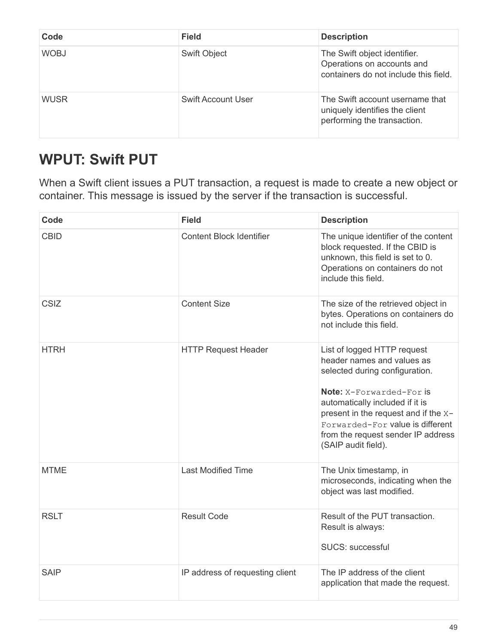| Code        | <b>Field</b>        | <b>Description</b>                                                                                  |
|-------------|---------------------|-----------------------------------------------------------------------------------------------------|
| <b>WOBJ</b> | <b>Swift Object</b> | The Swift object identifier.<br>Operations on accounts and<br>containers do not include this field. |
| <b>WUSR</b> | Swift Account User  | The Swift account username that<br>uniquely identifies the client<br>performing the transaction.    |

# <span id="page-51-0"></span>**WPUT: Swift PUT**

When a Swift client issues a PUT transaction, a request is made to create a new object or container. This message is issued by the server if the transaction is successful.

| Code        | <b>Field</b>                    | <b>Description</b>                                                                                                                                                                                                                                                                                         |
|-------------|---------------------------------|------------------------------------------------------------------------------------------------------------------------------------------------------------------------------------------------------------------------------------------------------------------------------------------------------------|
| <b>CBID</b> | <b>Content Block Identifier</b> | The unique identifier of the content<br>block requested. If the CBID is<br>unknown, this field is set to 0.<br>Operations on containers do not<br>include this field.                                                                                                                                      |
| CSIZ        | <b>Content Size</b>             | The size of the retrieved object in<br>bytes. Operations on containers do<br>not include this field.                                                                                                                                                                                                       |
| <b>HTRH</b> | <b>HTTP Request Header</b>      | List of logged HTTP request<br>header names and values as<br>selected during configuration.<br><b>Note:</b> X-Forwarded-For is<br>automatically included if it is<br>present in the request and if the x-<br>Forwarded-For value is different<br>from the request sender IP address<br>(SAIP audit field). |
| <b>MTME</b> | <b>Last Modified Time</b>       | The Unix timestamp, in<br>microseconds, indicating when the<br>object was last modified.                                                                                                                                                                                                                   |
| <b>RSLT</b> | <b>Result Code</b>              | Result of the PUT transaction.<br>Result is always:<br><b>SUCS: successful</b>                                                                                                                                                                                                                             |
| <b>SAIP</b> | IP address of requesting client | The IP address of the client<br>application that made the request.                                                                                                                                                                                                                                         |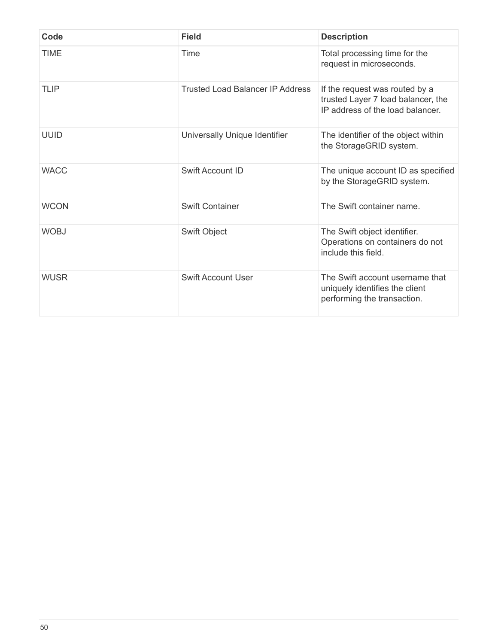| Code        | <b>Field</b>                            | <b>Description</b>                                                                                       |
|-------------|-----------------------------------------|----------------------------------------------------------------------------------------------------------|
| <b>TIME</b> | Time                                    | Total processing time for the<br>request in microseconds.                                                |
| TLIP        | <b>Trusted Load Balancer IP Address</b> | If the request was routed by a<br>trusted Layer 7 load balancer, the<br>IP address of the load balancer. |
| <b>UUID</b> | Universally Unique Identifier           | The identifier of the object within<br>the StorageGRID system.                                           |
| <b>WACC</b> | <b>Swift Account ID</b>                 | The unique account ID as specified<br>by the StorageGRID system.                                         |
| <b>WCON</b> | <b>Swift Container</b>                  | The Swift container name.                                                                                |
| <b>WOBJ</b> | Swift Object                            | The Swift object identifier.<br>Operations on containers do not<br>include this field.                   |
| <b>WUSR</b> | <b>Swift Account User</b>               | The Swift account username that<br>uniquely identifies the client<br>performing the transaction.         |